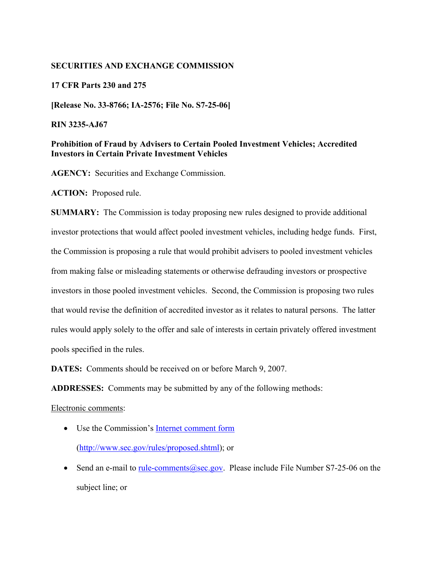### **SECURITIES AND EXCHANGE COMMISSION**

#### **17 CFR Parts 230 and 275**

**[Release No. 33-8766; IA-2576; File No. S7-25-06]** 

### **RIN 3235-AJ67**

### **Prohibition of Fraud by Advisers to Certain Pooled Investment Vehicles; Accredited Investors in Certain Private Investment Vehicles**

**AGENCY:** Securities and Exchange Commission.

**ACTION:** Proposed rule.

**SUMMARY:** The Commission is today proposing new rules designed to provide additional investor protections that would affect pooled investment vehicles, including hedge funds. First, the Commission is proposing a rule that would prohibit advisers to pooled investment vehicles from making false or misleading statements or otherwise defrauding investors or prospective investors in those pooled investment vehicles. Second, the Commission is proposing two rules that would revise the definition of accredited investor as it relates to natural persons. The latter rules would apply solely to the offer and sale of interests in certain privately offered investment pools specified in the rules.

**DATES:** Comments should be received on or before March 9, 2007.

**ADDRESSES:** Comments may be submitted by any of the following methods:

Electronic comments:

- Use the Commission's **[Internet comment form](http://www.sec.gov/cgi-bin/ruling-comments?ruling=s72506&rule_path=/comments/s7-25-06&file_num=S7-25-06&action=Show_Form)** ([http://www.sec.gov/rules/proposed.shtml\)](http://www.sec.gov/rules/proposed.shtml); or
- Send an e-mail to rule-comments  $(a)$  sec.gov. Please include File Number S7-25-06 on the subject line; or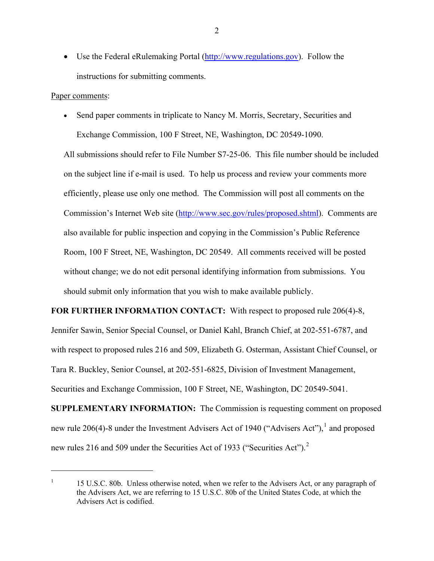• Use the Federal eRulemaking Portal [\(http://www.regulations.gov\)](http://www.sec.gov/cgi-bin/goodbye.cgi?www.regulations.gov). Follow the instructions for submitting comments.

#### Paper comments:

<span id="page-1-1"></span> $\overline{a}$ 

• Send paper comments in triplicate to Nancy M. Morris, Secretary, Securities and Exchange Commission, 100 F Street, NE, Washington, DC 20549-1090.

All submissions should refer to File Number S7-25-06.This file number should be included on the subject line if e-mail is used. To help us process and review your comments more efficiently, please use only one method. The Commission will post all comments on the Commission's Internet Web site ([http://www.sec.gov/rules/proposed.shtml\)](http://www.sec.gov/rules/proposed.shtml). Comments are also available for public inspection and copying in the Commission's Public Reference Room, 100 F Street, NE, Washington, DC 20549. All comments received will be posted without change; we do not edit personal identifying information from submissions. You should submit only information that you wish to make available publicly.

**FOR FURTHER INFORMATION CONTACT:** With respect to proposed rule 206(4)-8, Jennifer Sawin, Senior Special Counsel, or Daniel Kahl, Branch Chief, at 202-551-6787, and with respect to proposed rules 216 and 509, Elizabeth G. Osterman, Assistant Chief Counsel, or Tara R. Buckley, Senior Counsel, at 202-551-6825, Division of Investment Management, Securities and Exchange Commission, 100 F Street, NE, Washington, DC 20549-5041.

**SUPPLEMENTARY INFORMATION:** The Commission is requesting comment on proposed new rule 206(4)-8 under the Investment Advisers Act of [1](#page-1-0)940 ("Advisers Act"),  $\frac{1}{1}$  and proposed new rules [2](#page-1-1)16 and 509 under the Securities Act of 1933 ("Securities Act").<sup>2</sup>

<span id="page-1-0"></span><sup>1</sup> 15 U.S.C. 80b. Unless otherwise noted, when we refer to the Advisers Act, or any paragraph of the Advisers Act, we are referring to 15 U.S.C. 80b of the United States Code, at which the Advisers Act is codified.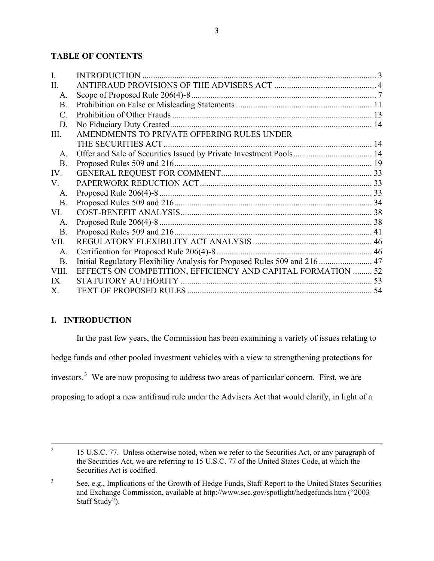# <span id="page-2-0"></span>**TABLE OF CONTENTS**

| L               |                                                                            |     |
|-----------------|----------------------------------------------------------------------------|-----|
| Π.              |                                                                            |     |
| $A_{\cdot}$     |                                                                            |     |
| B.              |                                                                            |     |
| $\mathcal{C}$ . |                                                                            |     |
| D.              |                                                                            |     |
| III.            | AMENDMENTS TO PRIVATE OFFERING RULES UNDER                                 |     |
|                 |                                                                            |     |
| $A_{\cdot}$     |                                                                            |     |
| <b>B.</b>       |                                                                            |     |
| IV.             |                                                                            |     |
| V.              |                                                                            |     |
| A.              |                                                                            |     |
| <b>B.</b>       |                                                                            |     |
| VI.             |                                                                            |     |
| A.              |                                                                            |     |
| <b>B.</b>       |                                                                            |     |
| VII.            |                                                                            |     |
| A.              |                                                                            |     |
| <b>B.</b>       | Initial Regulatory Flexibility Analysis for Proposed Rules 509 and 216  47 |     |
| VIII.           | EFFECTS ON COMPETITION, EFFICIENCY AND CAPITAL FORMATION  52               |     |
| IX.             |                                                                            |     |
| Χ.              |                                                                            | -54 |
|                 |                                                                            |     |

# **I. INTRODUCTION**

In the past few years, the Commission has been examining a variety of issues relating to

hedge funds and other pooled investment vehicles with a view to strengthening protections for

investors.<sup>[3](#page-2-1)</sup> We are now proposing to address two areas of particular concern. First, we are

proposing to adopt a new antifraud rule under the Advisers Act that would clarify, in light of a

 $\frac{1}{2}$ <sup>2</sup> 15 U.S.C. 77. Unless otherwise noted, when we refer to the Securities Act, or any paragraph of the Securities Act, we are referring to 15 U.S.C. 77 of the United States Code, at which the Securities Act is codified.

<span id="page-2-1"></span><sup>3</sup> See, e.g., Implications of the Growth of Hedge Funds, Staff Report to the United States Securities and Exchange Commission, available at<http://www.sec.gov/spotlight/hedgefunds.htm> ("2003 Staff Study").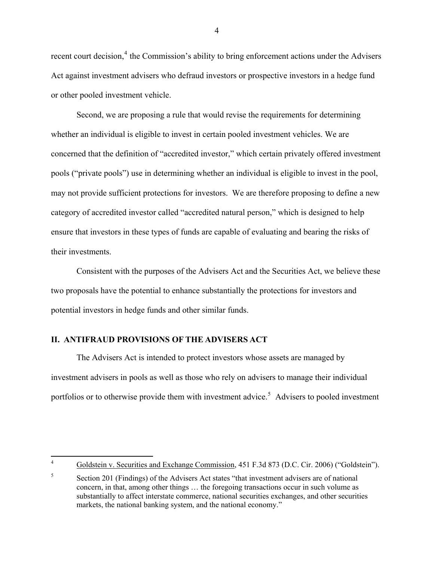<span id="page-3-0"></span>recent court decision,<sup>[4](#page-3-1)</sup> the Commission's ability to bring enforcement actions under the Advisers Act against investment advisers who defraud investors or prospective investors in a hedge fund or other pooled investment vehicle.

Second, we are proposing a rule that would revise the requirements for determining whether an individual is eligible to invest in certain pooled investment vehicles. We are concerned that the definition of "accredited investor," which certain privately offered investment pools ("private pools") use in determining whether an individual is eligible to invest in the pool, may not provide sufficient protections for investors. We are therefore proposing to define a new category of accredited investor called "accredited natural person," which is designed to help ensure that investors in these types of funds are capable of evaluating and bearing the risks of their investments.

Consistent with the purposes of the Advisers Act and the Securities Act, we believe these two proposals have the potential to enhance substantially the protections for investors and potential investors in hedge funds and other similar funds.

### **II. ANTIFRAUD PROVISIONS OF THE ADVISERS ACT**

The Advisers Act is intended to protect investors whose assets are managed by investment advisers in pools as well as those who rely on advisers to manage their individual portfolios or to otherwise provide them with investment advice.<sup>[5](#page-3-2)</sup> Advisers to pooled investment

 $\frac{1}{4}$ 

Goldstein v. Securities and Exchange Commission, 451 F.3d 873 (D.C. Cir. 2006) ("Goldstein").

<span id="page-3-2"></span><span id="page-3-1"></span><sup>5</sup> Section 201 (Findings) of the Advisers Act states "that investment advisers are of national concern, in that, among other things … the foregoing transactions occur in such volume as substantially to affect interstate commerce, national securities exchanges, and other securities markets, the national banking system, and the national economy."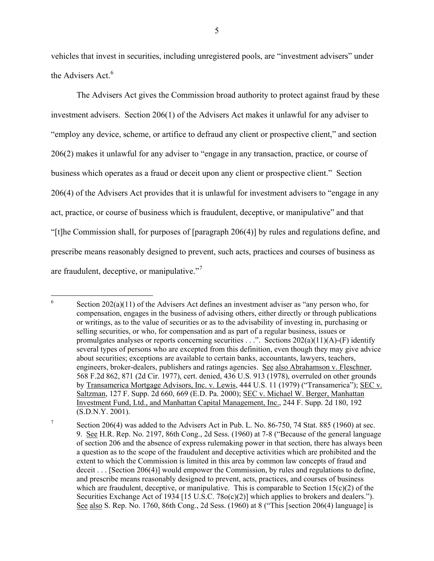vehicles that invest in securities, including unregistered pools, are "investment advisers" under the Advisers Act.<sup>[6](#page-4-0)</sup>

The Advisers Act gives the Commission broad authority to protect against fraud by these investment advisers. Section 206(1) of the Advisers Act makes it unlawful for any adviser to "employ any device, scheme, or artifice to defraud any client or prospective client," and section 206(2) makes it unlawful for any adviser to "engage in any transaction, practice, or course of business which operates as a fraud or deceit upon any client or prospective client." Section 206(4) of the Advisers Act provides that it is unlawful for investment advisers to "engage in any act, practice, or course of business which is fraudulent, deceptive, or manipulative" and that "[t]he Commission shall, for purposes of [paragraph 206(4)] by rules and regulations define, and prescribe means reasonably designed to prevent, such acts, practices and courses of business as are fraudulent, deceptive, or manipulative." $7$ 

<span id="page-4-0"></span> 6 Section 202(a)(11) of the Advisers Act defines an investment adviser as "any person who, for compensation, engages in the business of advising others, either directly or through publications or writings, as to the value of securities or as to the advisability of investing in, purchasing or selling securities, or who, for compensation and as part of a regular business, issues or promulgates analyses or reports concerning securities . . .". Sections 202(a)(11)(A)-(F) identify several types of persons who are excepted from this definition, even though they may give advice about securities; exceptions are available to certain banks, accountants, lawyers, teachers, engineers, broker-dealers, publishers and ratings agencies. See also Abrahamson v. Fleschner, 568 F.2d 862, 871 (2d Cir. 1977), cert. denied, 436 U.S. 913 (1978), overruled on other grounds by Transamerica Mortgage Advisors, Inc. v. Lewis, 444 U.S. 11 (1979) ("Transamerica"); SEC v. Saltzman, 127 F. Supp. 2d 660, 669 (E.D. Pa. 2000); SEC v. Michael W. Berger, Manhattan Investment Fund, Ltd., and Manhattan Capital Management, Inc., 244 F. Supp. 2d 180, 192 (S.D.N.Y. 2001).

<span id="page-4-1"></span><sup>7</sup> Section 206(4) was added to the Advisers Act in Pub. L. No. 86-750, 74 Stat. 885 (1960) at sec. 9. See H.R. Rep. No. 2197, 86th Cong., 2d Sess. (1960) at 7-8 ("Because of the general language of section 206 and the absence of express rulemaking power in that section, there has always been a question as to the scope of the fraudulent and deceptive activities which are prohibited and the extent to which the Commission is limited in this area by common law concepts of fraud and deceit . . . [Section 206(4)] would empower the Commission, by rules and regulations to define, and prescribe means reasonably designed to prevent, acts, practices, and courses of business which are fraudulent, deceptive, or manipulative. This is comparable to Section  $15(c)(2)$  of the Securities Exchange Act of 1934 [15 U.S.C. 78o(c)(2)] which applies to brokers and dealers."). See also S. Rep. No. 1760, 86th Cong., 2d Sess. (1960) at 8 ("This [section 206(4) language] is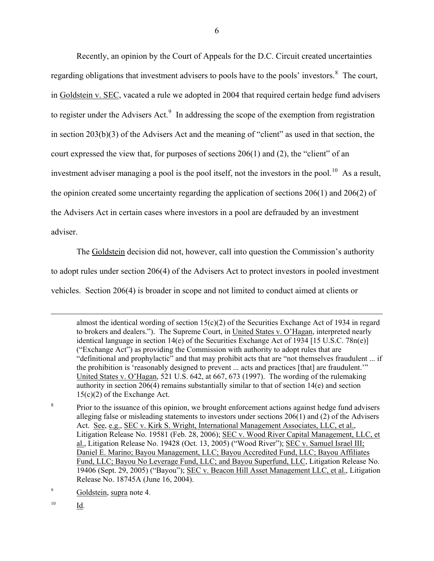Recently, an opinion by the Court of Appeals for the D.C. Circuit created uncertainties regarding obligations that investment advisers to pools have to the pools' investors.<sup>[8](#page-5-0)</sup> The court, in Goldstein v. SEC, vacated a rule we adopted in 2004 that required certain hedge fund advisers to register under the Advisers Act. $9$  In addressing the scope of the exemption from registration in section 203(b)(3) of the Advisers Act and the meaning of "client" as used in that section, the court expressed the view that, for purposes of sections 206(1) and (2), the "client" of an investment adviser managing a pool is the pool itself, not the investors in the pool.<sup>[10](#page-5-2)</sup> As a result, the opinion created some uncertainty regarding the application of sections 206(1) and 206(2) of the Advisers Act in certain cases where investors in a pool are defrauded by an investment adviser.

The Goldstein decision did not, however, call into question the Commission's authority to adopt rules under section 206(4) of the Advisers Act to protect investors in pooled investment vehicles. Section 206(4) is broader in scope and not limited to conduct aimed at clients or

 $\overline{a}$ 

almost the identical wording of section  $15(c)(2)$  of the Securities Exchange Act of 1934 in regard to brokers and dealers."). The Supreme Court, in United States v. O'Hagan, interpreted nearly identical language in section 14(e) of the Securities Exchange Act of 1934 [15 U.S.C. 78n(e)] ("Exchange Act") as providing the Commission with authority to adopt rules that are "definitional and prophylactic" and that may prohibit acts that are "not themselves fraudulent ... if the prohibition is 'reasonably designed to prevent ... acts and practices [that] are fraudulent.'" United States v. O'Hagan, 521 U.S. 642, at 667, 673 (1997). The wording of the rulemaking authority in section 206(4) remains substantially similar to that of section 14(e) and section 15(c)(2) of the Exchange Act.

<span id="page-5-0"></span><sup>8</sup> Prior to the issuance of this opinion, we brought enforcement actions against hedge fund advisers alleging false or misleading statements to investors under sections 206(1) and (2) of the Advisers Act. See, e.g., SEC v. Kirk S. Wright, International Management Associates, LLC, et al., Litigation Release No. 19581 (Feb. 28, 2006); SEC v. Wood River Capital Management, LLC, et al., Litigation Release No. 19428 (Oct. 13, 2005) ("Wood River"); SEC v. Samuel Israel III; Daniel E. Marino; Bayou Management, LLC; Bayou Accredited Fund, LLC; Bayou Affiliates Fund, LLC; Bayou No Leverage Fund, LLC; and Bayou Superfund, LLC, Litigation Release No. 19406 (Sept. 29, 2005) ("Bayou"); SEC v. Beacon Hill Asset Management LLC, et al., Litigation Release No. 18745A (June 16, 2004).

<span id="page-5-1"></span><sup>9</sup> Goldstein, supra note 4.

<span id="page-5-2"></span><sup>10</sup> Id.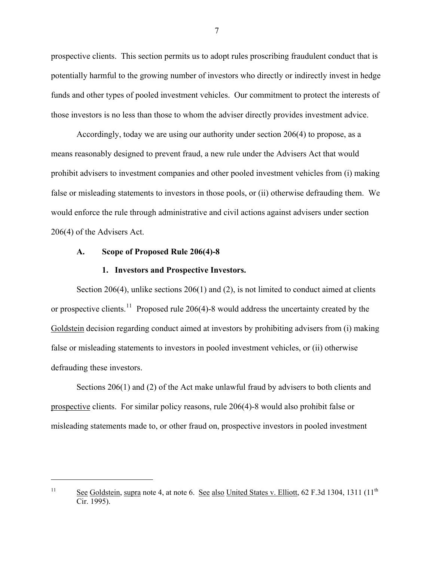<span id="page-6-0"></span>prospective clients. This section permits us to adopt rules proscribing fraudulent conduct that is potentially harmful to the growing number of investors who directly or indirectly invest in hedge funds and other types of pooled investment vehicles. Our commitment to protect the interests of those investors is no less than those to whom the adviser directly provides investment advice.

Accordingly, today we are using our authority under section 206(4) to propose, as a means reasonably designed to prevent fraud, a new rule under the Advisers Act that would prohibit advisers to investment companies and other pooled investment vehicles from (i) making false or misleading statements to investors in those pools, or (ii) otherwise defrauding them. We would enforce the rule through administrative and civil actions against advisers under section 206(4) of the Advisers Act.

#### **A. Scope of Proposed Rule 206(4)-8**

 $\overline{a}$ 

#### **1. Investors and Prospective Investors.**

Section 206(4), unlike sections 206(1) and (2), is not limited to conduct aimed at clients or prospective clients.<sup>[11](#page-6-1)</sup> Proposed rule 206(4)-8 would address the uncertainty created by the Goldstein decision regarding conduct aimed at investors by prohibiting advisers from (i) making false or misleading statements to investors in pooled investment vehicles, or (ii) otherwise defrauding these investors.

Sections 206(1) and (2) of the Act make unlawful fraud by advisers to both clients and prospective clients. For similar policy reasons, rule 206(4)-8 would also prohibit false or misleading statements made to, or other fraud on, prospective investors in pooled investment

<span id="page-6-1"></span><sup>&</sup>lt;sup>11</sup> See Goldstein, supra note 4, at note 6. See also United States v. Elliott, 62 F.3d 1304, 1311 (11<sup>th</sup> Cir. 1995).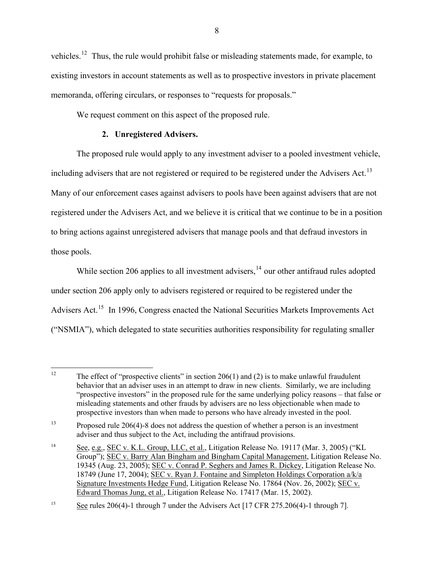vehicles.[12](#page-7-0) Thus, the rule would prohibit false or misleading statements made, for example, to existing investors in account statements as well as to prospective investors in private placement memoranda, offering circulars, or responses to "requests for proposals."

We request comment on this aspect of the proposed rule.

## **2. Unregistered Advisers.**

The proposed rule would apply to any investment adviser to a pooled investment vehicle, including advisers that are not registered or required to be registered under the Advisers Act.<sup>[13](#page-7-1)</sup> Many of our enforcement cases against advisers to pools have been against advisers that are not registered under the Advisers Act, and we believe it is critical that we continue to be in a position to bring actions against unregistered advisers that manage pools and that defraud investors in those pools.

While section 206 applies to all investment advisers,  $14$  our other antifraud rules adopted under section 206 apply only to advisers registered or required to be registered under the Advisers Act.<sup>[15](#page-7-3)</sup> In 1996, Congress enacted the National Securities Markets Improvements Act ("NSMIA"), which delegated to state securities authorities responsibility for regulating smaller

<span id="page-7-0"></span> $12$ The effect of "prospective clients" in section  $206(1)$  and (2) is to make unlawful fraudulent behavior that an adviser uses in an attempt to draw in new clients. Similarly, we are including "prospective investors" in the proposed rule for the same underlying policy reasons – that false or misleading statements and other frauds by advisers are no less objectionable when made to prospective investors than when made to persons who have already invested in the pool.

<span id="page-7-1"></span><sup>&</sup>lt;sup>13</sup> Proposed rule 206(4)-8 does not address the question of whether a person is an investment adviser and thus subject to the Act, including the antifraud provisions.

<span id="page-7-2"></span><sup>&</sup>lt;sup>14</sup> See, e.g., SEC v. K.L. Group, LLC, et al., Litigation Release No. 19117 (Mar. 3, 2005) ("KL Group"); SEC v. Barry Alan Bingham and Bingham Capital Management, Litigation Release No. 19345 (Aug. 23, 2005); SEC v. Conrad P. Seghers and James R. Dickey, Litigation Release No. 18749 (June 17, 2004); SEC v. Ryan J. Fontaine and Simpleton Holdings Corporation a/k/a Signature Investments Hedge Fund, Litigation Release No. 17864 (Nov. 26, 2002); SEC v. Edward Thomas Jung, et al., Litigation Release No. 17417 (Mar. 15, 2002).

<span id="page-7-3"></span><sup>&</sup>lt;sup>15</sup> See rules 206(4)-1 through 7 under the Advisers Act [17 CFR 275.206(4)-1 through 7].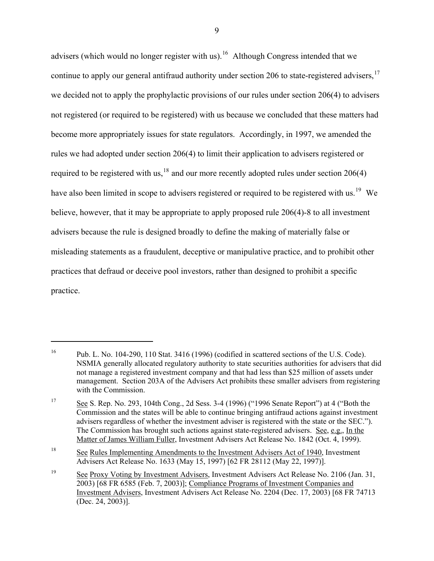advisers (which would no longer register with us).<sup>[16](#page-8-0)</sup> Although Congress intended that we continue to apply our general antifraud authority under section 206 to state-registered advisers,<sup>[17](#page-8-1)</sup> we decided not to apply the prophylactic provisions of our rules under section 206(4) to advisers not registered (or required to be registered) with us because we concluded that these matters had become more appropriately issues for state regulators. Accordingly, in 1997, we amended the rules we had adopted under section 206(4) to limit their application to advisers registered or required to be registered with us,<sup>18</sup> and our more recently adopted rules under section 206(4) have also been limited in scope to advisers registered or required to be registered with us.<sup>[19](#page-8-3)</sup> We believe, however, that it may be appropriate to apply proposed rule 206(4)-8 to all investment advisers because the rule is designed broadly to define the making of materially false or misleading statements as a fraudulent, deceptive or manipulative practice, and to prohibit other practices that defraud or deceive pool investors, rather than designed to prohibit a specific practice.

<u>.</u>

<span id="page-8-0"></span><sup>&</sup>lt;sup>16</sup> Pub. L. No. 104-290, 110 Stat. 3416 (1996) (codified in scattered sections of the U.S. Code). NSMIA generally allocated regulatory authority to state securities authorities for advisers that did not manage a registered investment company and that had less than \$25 million of assets under management. Section 203A of the Advisers Act prohibits these smaller advisers from registering with the Commission.

<span id="page-8-1"></span><sup>17</sup> See S. Rep. No. 293, 104th Cong., 2d Sess. 3-4 (1996) ("1996 Senate Report") at 4 ("Both the Commission and the states will be able to continue bringing antifraud actions against investment advisers regardless of whether the investment adviser is registered with the state or the SEC."). The Commission has brought such actions against state-registered advisers. See, e.g., In the Matter of James William Fuller, Investment Advisers Act Release No. 1842 (Oct. 4, 1999).

<span id="page-8-2"></span><sup>&</sup>lt;sup>18</sup> See Rules Implementing Amendments to the Investment Advisers Act of 1940, Investment Advisers Act Release No. 1633 (May 15, 1997) [62 FR 28112 (May 22, 1997)].

<span id="page-8-3"></span><sup>&</sup>lt;sup>19</sup> See Proxy Voting by Investment Advisers, Investment Advisers Act Release No. 2106 (Jan. 31, 2003) [68 FR 6585 (Feb. 7, 2003)]; Compliance Programs of Investment Companies and Investment Advisers, Investment Advisers Act Release No. 2204 (Dec. 17, 2003) [68 FR 74713 (Dec. 24, 2003)].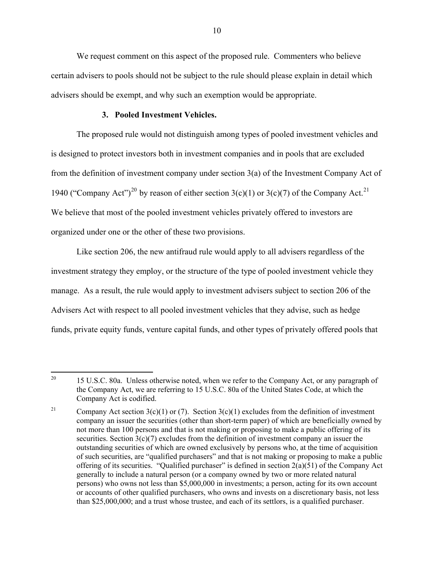We request comment on this aspect of the proposed rule. Commenters who believe certain advisers to pools should not be subject to the rule should please explain in detail which advisers should be exempt, and why such an exemption would be appropriate.

### **3. Pooled Investment Vehicles.**

The proposed rule would not distinguish among types of pooled investment vehicles and is designed to protect investors both in investment companies and in pools that are excluded from the definition of investment company under section 3(a) of the Investment Company Act of 1940 ("Company Act")<sup>[20](#page-9-0)</sup> by reason of either section 3(c)(1) or 3(c)(7) of the Company Act.<sup>[21](#page-9-1)</sup> We believe that most of the pooled investment vehicles privately offered to investors are organized under one or the other of these two provisions.

Like section 206, the new antifraud rule would apply to all advisers regardless of the investment strategy they employ, or the structure of the type of pooled investment vehicle they manage. As a result, the rule would apply to investment advisers subject to section 206 of the Advisers Act with respect to all pooled investment vehicles that they advise, such as hedge funds, private equity funds, venture capital funds, and other types of privately offered pools that

<span id="page-9-0"></span><sup>20</sup> 20 15 U.S.C. 80a. Unless otherwise noted, when we refer to the Company Act, or any paragraph of the Company Act, we are referring to 15 U.S.C. 80a of the United States Code, at which the Company Act is codified.

<span id="page-9-1"></span><sup>&</sup>lt;sup>21</sup> Company Act section 3(c)(1) or (7). Section 3(c)(1) excludes from the definition of investment company an issuer the securities (other than short-term paper) of which are beneficially owned by not more than 100 persons and that is not making or proposing to make a public offering of its securities. Section  $3(c)(7)$  excludes from the definition of investment company an issuer the outstanding securities of which are owned exclusively by persons who, at the time of acquisition of such securities, are "qualified purchasers" and that is not making or proposing to make a public offering of its securities. "Qualified purchaser" is defined in section  $2(a)(51)$  of the Company Act generally to include a natural person (or a company owned by two or more related natural persons) who owns not less than \$5,000,000 in investments; a person, acting for its own account or accounts of other qualified purchasers, who owns and invests on a discretionary basis, not less than \$25,000,000; and a trust whose trustee, and each of its settlors, is a qualified purchaser.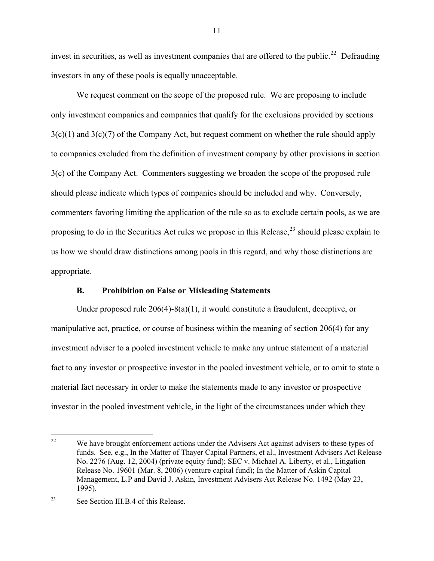<span id="page-10-0"></span>invest in securities, as well as investment companies that are offered to the public.<sup>[22](#page-10-1)</sup> Defrauding investors in any of these pools is equally unacceptable.

We request comment on the scope of the proposed rule. We are proposing to include only investment companies and companies that qualify for the exclusions provided by sections  $3(c)(1)$  and  $3(c)(7)$  of the Company Act, but request comment on whether the rule should apply to companies excluded from the definition of investment company by other provisions in section 3(c) of the Company Act. Commenters suggesting we broaden the scope of the proposed rule should please indicate which types of companies should be included and why. Conversely, commenters favoring limiting the application of the rule so as to exclude certain pools, as we are proposing to do in the Securities Act rules we propose in this Release,  $^{23}$  $^{23}$  $^{23}$  should please explain to us how we should draw distinctions among pools in this regard, and why those distinctions are appropriate.

#### **B. Prohibition on False or Misleading Statements**

Under proposed rule 206(4)-8(a)(1), it would constitute a fraudulent, deceptive, or manipulative act, practice, or course of business within the meaning of section 206(4) for any investment adviser to a pooled investment vehicle to make any untrue statement of a material fact to any investor or prospective investor in the pooled investment vehicle, or to omit to state a material fact necessary in order to make the statements made to any investor or prospective investor in the pooled investment vehicle, in the light of the circumstances under which they

<span id="page-10-1"></span> $22$ We have brought enforcement actions under the Advisers Act against advisers to these types of funds. See, e.g., In the Matter of Thayer Capital Partners, et al., Investment Advisers Act Release No. 2276 (Aug. 12, 2004) (private equity fund); SEC v. Michael A. Liberty, et al., Litigation Release No. 19601 (Mar. 8, 2006) (venture capital fund); In the Matter of Askin Capital Management, L.P and David J. Askin, Investment Advisers Act Release No. 1492 (May 23, 1995).

<span id="page-10-2"></span><sup>23</sup> See Section III.B.4 of this Release.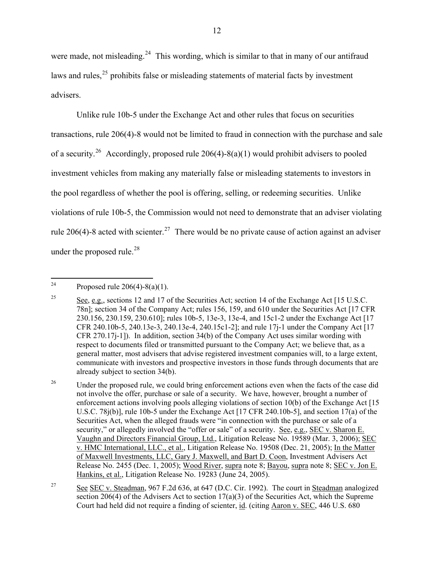were made, not misleading.<sup>[24](#page-11-0)</sup> This wording, which is similar to that in many of our antifraud laws and rules,<sup>[25](#page-11-1)</sup> prohibits false or misleading statements of material facts by investment advisers.

Unlike rule 10b-5 under the Exchange Act and other rules that focus on securities transactions, rule 206(4)-8 would not be limited to fraud in connection with the purchase and sale of a security.<sup>[26](#page-11-2)</sup> Accordingly, proposed rule 206(4)-8(a)(1) would prohibit advisers to pooled investment vehicles from making any materially false or misleading statements to investors in the pool regardless of whether the pool is offering, selling, or redeeming securities. Unlike violations of rule 10b-5, the Commission would not need to demonstrate that an adviser violating rule 206(4)-8 acted with scienter.<sup>[27](#page-11-3)</sup> There would be no private cause of action against an adviser under the proposed rule. $^{28}$  $^{28}$  $^{28}$ 

<span id="page-11-0"></span><sup>24</sup> Proposed rule  $206(4)-8(a)(1)$ .

<span id="page-11-1"></span><sup>&</sup>lt;sup>25</sup> See, e.g., sections 12 and 17 of the Securities Act; section 14 of the Exchange Act [15 U.S.C.] 78n]; section 34 of the Company Act; rules 156, 159, and 610 under the Securities Act [17 CFR 230.156, 230.159, 230.610]; rules 10b-5, 13e-3, 13e-4, and 15c1-2 under the Exchange Act [17 CFR 240.10b-5, 240.13e-3, 240.13e-4, 240.15c1-2]; and rule 17j-1 under the Company Act [17 CFR 270.17j-1]). In addition, section 34(b) of the Company Act uses similar wording with respect to documents filed or transmitted pursuant to the Company Act; we believe that, as a general matter, most advisers that advise registered investment companies will, to a large extent, communicate with investors and prospective investors in those funds through documents that are already subject to section 34(b).

<span id="page-11-4"></span><span id="page-11-2"></span><sup>&</sup>lt;sup>26</sup> Under the proposed rule, we could bring enforcement actions even when the facts of the case did not involve the offer, purchase or sale of a security. We have, however, brought a number of enforcement actions involving pools alleging violations of section 10(b) of the Exchange Act [15 U.S.C. 78j(b)], rule 10b-5 under the Exchange Act [17 CFR 240.10b-5], and section 17(a) of the Securities Act, when the alleged frauds were "in connection with the purchase or sale of a security," or allegedly involved the "offer or sale" of a security. See, e.g., SEC v. Sharon E. Vaughn and Directors Financial Group, Ltd., Litigation Release No. 19589 (Mar. 3, 2006); SEC v. HMC International, LLC., et al., Litigation Release No. 19508 (Dec. 21, 2005); In the Matter of Maxwell Investments, LLC, Gary J. Maxwell, and Bart D. Coon, Investment Advisers Act Release No. 2455 (Dec. 1, 2005); Wood River, supra note 8; Bayou, supra note 8; SEC v. Jon E. Hankins, et al., Litigation Release No. 19283 (June 24, 2005).

<span id="page-11-3"></span><sup>&</sup>lt;sup>27</sup> See SEC v. Steadman, 967 F.2d 636, at 647 (D.C. Cir. 1992). The court in Steadman analogized section 206(4) of the Advisers Act to section  $17(a)(3)$  of the Securities Act, which the Supreme Court had held did not require a finding of scienter, id. (citing Aaron v. SEC, 446 U.S. 680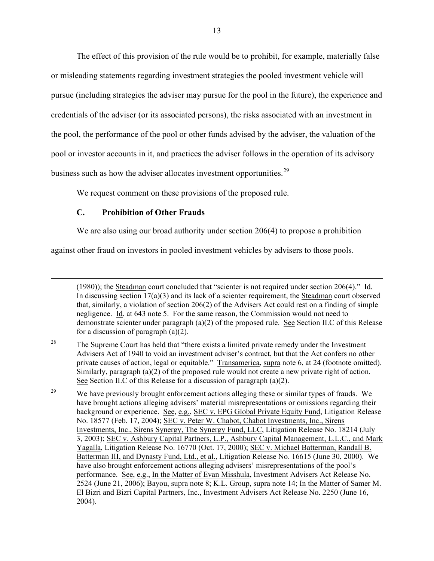<span id="page-12-0"></span>The effect of this provision of the rule would be to prohibit, for example, materially false or misleading statements regarding investment strategies the pooled investment vehicle will pursue (including strategies the adviser may pursue for the pool in the future), the experience and credentials of the adviser (or its associated persons), the risks associated with an investment in the pool, the performance of the pool or other funds advised by the adviser, the valuation of the pool or investor accounts in it, and practices the adviser follows in the operation of its advisory business such as how the adviser allocates investment opportunities.<sup>[29](#page-12-1)</sup>

We request comment on these provisions of the proposed rule.

# **C. Prohibition of Other Frauds**

 $\overline{a}$ 

We are also using our broad authority under section 206(4) to propose a prohibition

against other fraud on investors in pooled investment vehicles by advisers to those pools.

(1980)); the Steadman court concluded that "scienter is not required under section 206(4)." Id. In discussing section  $17(a)(3)$  and its lack of a scienter requirement, the Steadman court observed that, similarly, a violation of section 206(2) of the Advisers Act could rest on a finding of simple negligence. Id. at 643 note 5. For the same reason, the Commission would not need to demonstrate scienter under paragraph (a)(2) of the proposed rule. See Section II.C of this Release for a discussion of paragraph (a)(2).

<sup>&</sup>lt;sup>28</sup> The Supreme Court has held that "there exists a limited private remedy under the Investment Advisers Act of 1940 to void an investment adviser's contract, but that the Act confers no other private causes of action, legal or equitable." Transamerica, supra note 6, at 24 (footnote omitted). Similarly, paragraph (a)(2) of the proposed rule would not create a new private right of action. See Section II.C of this Release for a discussion of paragraph (a)(2).

<span id="page-12-1"></span><sup>&</sup>lt;sup>29</sup> We have previously brought enforcement actions alleging these or similar types of frauds. We have brought actions alleging advisers' material misrepresentations or omissions regarding their background or experience. See, e.g., SEC v. EPG Global Private Equity Fund, Litigation Release No. 18577 (Feb. 17, 2004); SEC v. Peter W. Chabot, Chabot Investments, Inc., Sirens Investments, Inc., Sirens Synergy, The Synergy Fund, LLC, Litigation Release No. 18214 (July 3, 2003); SEC v. Ashbury Capital Partners, L.P., Ashbury Capital Management, L.L.C., and Mark Yagalla, Litigation Release No. 16770 (Oct. 17, 2000); SEC v. Michael Batterman, Randall B. Batterman III, and Dynasty Fund, Ltd., et al., Litigation Release No. 16615 (June 30, 2000). We have also brought enforcement actions alleging advisers' misrepresentations of the pool's performance. See, e.g., In the Matter of Evan Misshula, Investment Advisers Act Release No. 2524 (June 21, 2006); Bayou, supra note 8; K.L. Group, supra note 14; In the Matter of Samer M. El Bizri and Bizri Capital Partners, Inc., Investment Advisers Act Release No. 2250 (June 16, 2004).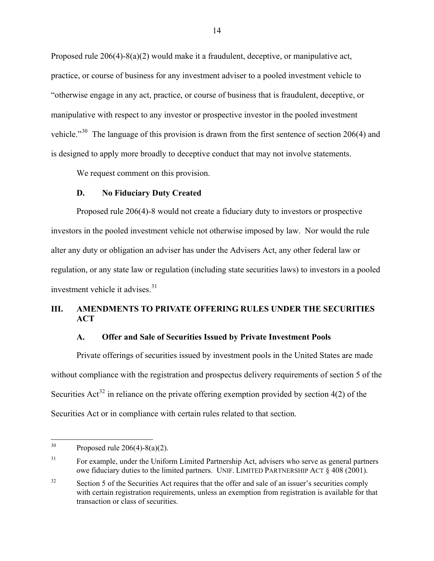<span id="page-13-0"></span>Proposed rule 206(4)-8(a)(2) would make it a fraudulent, deceptive, or manipulative act, practice, or course of business for any investment adviser to a pooled investment vehicle to "otherwise engage in any act, practice, or course of business that is fraudulent, deceptive, or manipulative with respect to any investor or prospective investor in the pooled investment vehicle."<sup>[30](#page-13-1)</sup> The language of this provision is drawn from the first sentence of section 206(4) and is designed to apply more broadly to deceptive conduct that may not involve statements.

We request comment on this provision.

#### **D. No Fiduciary Duty Created**

Proposed rule 206(4)-8 would not create a fiduciary duty to investors or prospective investors in the pooled investment vehicle not otherwise imposed by law. Nor would the rule alter any duty or obligation an adviser has under the Advisers Act, any other federal law or regulation, or any state law or regulation (including state securities laws) to investors in a pooled investment vehicle it advises  $31$ 

# **III. AMENDMENTS TO PRIVATE OFFERING RULES UNDER THE SECURITIES ACT**

### **A. Offer and Sale of Securities Issued by Private Investment Pools**

Private offerings of securities issued by investment pools in the United States are made without compliance with the registration and prospectus delivery requirements of section 5 of the Securities  $\text{Act}^{32}$  $\text{Act}^{32}$  $\text{Act}^{32}$  in reliance on the private offering exemption provided by section 4(2) of the Securities Act or in compliance with certain rules related to that section.

<span id="page-13-1"></span> $30\,$ Proposed rule  $206(4)-8(a)(2)$ .

<span id="page-13-2"></span><sup>&</sup>lt;sup>31</sup> For example, under the Uniform Limited Partnership Act, advisers who serve as general partners owe fiduciary duties to the limited partners. UNIF. LIMITED PARTNERSHIP ACT § 408 (2001).

<span id="page-13-3"></span><sup>&</sup>lt;sup>32</sup> Section 5 of the Securities Act requires that the offer and sale of an issuer's securities comply with certain registration requirements, unless an exemption from registration is available for that transaction or class of securities.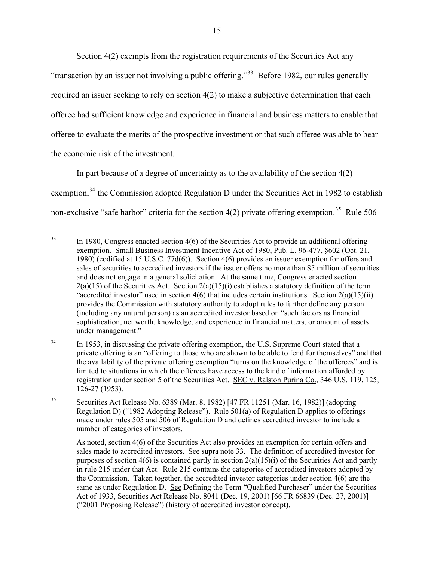Section 4(2) exempts from the registration requirements of the Securities Act any

"transaction by an issuer not involving a public offering."<sup>[33](#page-14-0)</sup> Before 1982, our rules generally required an issuer seeking to rely on section 4(2) to make a subjective determination that each offeree had sufficient knowledge and experience in financial and business matters to enable that offeree to evaluate the merits of the prospective investment or that such offeree was able to bear the economic risk of the investment.

In part because of a degree of uncertainty as to the availability of the section 4(2) exemption,<sup>[34](#page-14-1)</sup> the Commission adopted Regulation D under the Securities Act in 1982 to establish non-exclusive "safe harbor" criteria for the section  $4(2)$  private offering exemption.<sup>[35](#page-14-2)</sup> Rule 506

<span id="page-14-0"></span> $33$ In 1980, Congress enacted section  $4(6)$  of the Securities Act to provide an additional offering exemption. Small Business Investment Incentive Act of 1980, Pub. L. 96-477, §602 (Oct. 21, 1980) (codified at 15 U.S.C. 77d(6)). Section 4(6) provides an issuer exemption for offers and sales of securities to accredited investors if the issuer offers no more than \$5 million of securities and does not engage in a general solicitation. At the same time, Congress enacted section  $2(a)(15)$  of the Securities Act. Section  $2(a)(15)(i)$  establishes a statutory definition of the term "accredited investor" used in section  $4(6)$  that includes certain institutions. Section  $2(a)(15)(ii)$ provides the Commission with statutory authority to adopt rules to further define any person (including any natural person) as an accredited investor based on "such factors as financial sophistication, net worth, knowledge, and experience in financial matters, or amount of assets under management."

<span id="page-14-1"></span><sup>&</sup>lt;sup>34</sup> In 1953, in discussing the private offering exemption, the U.S. Supreme Court stated that a private offering is an "offering to those who are shown to be able to fend for themselves" and that the availability of the private offering exemption "turns on the knowledge of the offerees" and is limited to situations in which the offerees have access to the kind of information afforded by registration under section 5 of the Securities Act. SEC v. Ralston Purina Co., 346 U.S. 119, 125, 126-27 (1953).

<span id="page-14-2"></span><sup>35</sup> Securities Act Release No. 6389 (Mar. 8, 1982) [47 FR 11251 (Mar. 16, 1982)] (adopting Regulation D) ("1982 Adopting Release"). Rule 501(a) of Regulation D applies to offerings made under rules 505 and 506 of Regulation D and defines accredited investor to include a number of categories of investors.

As noted, section 4(6) of the Securities Act also provides an exemption for certain offers and sales made to accredited investors. See supra note 33. The definition of accredited investor for purposes of section 4(6) is contained partly in section  $2(a)(15)(i)$  of the Securities Act and partly in rule 215 under that Act. Rule 215 contains the categories of accredited investors adopted by the Commission. Taken together, the accredited investor categories under section  $4(6)$  are the same as under Regulation D. See Defining the Term "Qualified Purchaser" under the Securities Act of 1933, Securities Act Release No. 8041 (Dec. 19, 2001) [66 FR 66839 (Dec. 27, 2001)] ("2001 Proposing Release") (history of accredited investor concept).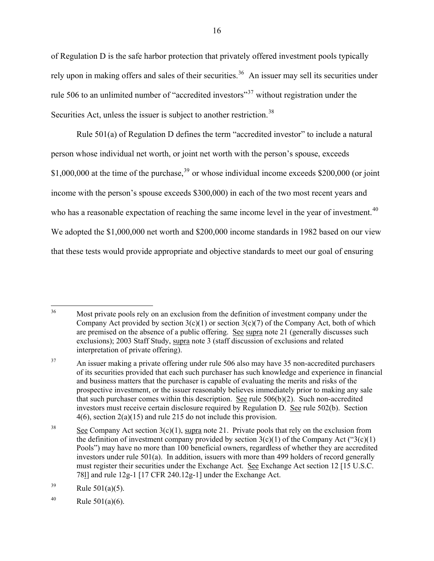of Regulation D is the safe harbor protection that privately offered investment pools typically rely upon in making offers and sales of their securities.<sup>[36](#page-15-0)</sup> An issuer may sell its securities under rule 506 to an unlimited number of "accredited investors"<sup>[37](#page-15-1)</sup> without registration under the Securities Act, unless the issuer is subject to another restriction.<sup>[38](#page-15-2)</sup>

16

Rule 501(a) of Regulation D defines the term "accredited investor" to include a natural person whose individual net worth, or joint net worth with the person's spouse, exceeds \$1,000,000 at the time of the purchase,  $39$  or whose individual income exceeds \$200,000 (or joint income with the person's spouse exceeds \$300,000) in each of the two most recent years and who has a reasonable expectation of reaching the same income level in the year of investment.<sup>[40](#page-15-4)</sup> We adopted the \$1,000,000 net worth and \$200,000 income standards in 1982 based on our view that these tests would provide appropriate and objective standards to meet our goal of ensuring

<span id="page-15-0"></span><sup>36</sup> Most private pools rely on an exclusion from the definition of investment company under the Company Act provided by section  $3(c)(1)$  or section  $3(c)(7)$  of the Company Act, both of which are premised on the absence of a public offering. See supra note 21 (generally discusses such exclusions); 2003 Staff Study, supra note 3 (staff discussion of exclusions and related interpretation of private offering).

<span id="page-15-1"></span><sup>&</sup>lt;sup>37</sup> An issuer making a private offering under rule 506 also may have 35 non-accredited purchasers of its securities provided that each such purchaser has such knowledge and experience in financial and business matters that the purchaser is capable of evaluating the merits and risks of the prospective investment, or the issuer reasonably believes immediately prior to making any sale that such purchaser comes within this description. See rule  $506(b)(2)$ . Such non-accredited investors must receive certain disclosure required by Regulation D. See rule 502(b). Section 4(6), section 2(a)(15) and rule 215 do not include this provision.

<span id="page-15-2"></span><sup>&</sup>lt;sup>38</sup> See Company Act section  $3(c)(1)$ , supra note 21. Private pools that rely on the exclusion from the definition of investment company provided by section  $3(c)(1)$  of the Company Act (" $3(c)(1)$ Pools") may have no more than 100 beneficial owners, regardless of whether they are accredited investors under rule 501(a). In addition, issuers with more than 499 holders of record generally must register their securities under the Exchange Act. See Exchange Act section 12 [15 U.S.C. 78l] and rule 12g-1 [17 CFR 240.12g-1] under the Exchange Act.

<span id="page-15-3"></span> $39$  Rule 501(a)(5).

<span id="page-15-4"></span><sup>40</sup> Rule  $501(a)(6)$ .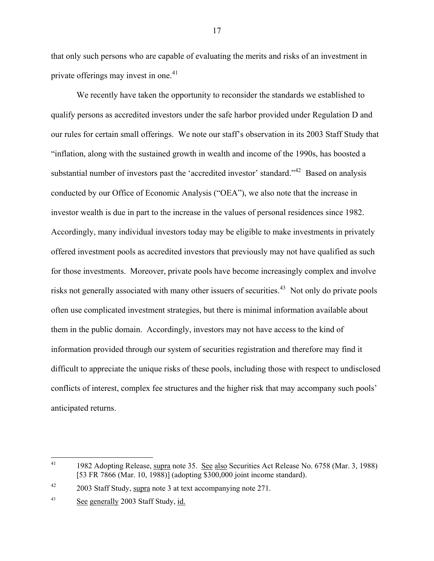that only such persons who are capable of evaluating the merits and risks of an investment in private offerings may invest in one.<sup>[41](#page-16-0)</sup>

We recently have taken the opportunity to reconsider the standards we established to qualify persons as accredited investors under the safe harbor provided under Regulation D and our rules for certain small offerings. We note our staff's observation in its 2003 Staff Study that "inflation, along with the sustained growth in wealth and income of the 1990s, has boosted a substantial number of investors past the 'accredited investor' standard."<sup>[42](#page-16-1)</sup> Based on analysis conducted by our Office of Economic Analysis ("OEA"), we also note that the increase in investor wealth is due in part to the increase in the values of personal residences since 1982. Accordingly, many individual investors today may be eligible to make investments in privately offered investment pools as accredited investors that previously may not have qualified as such for those investments. Moreover, private pools have become increasingly complex and involve risks not generally associated with many other issuers of securities.<sup>[43](#page-16-2)</sup> Not only do private pools often use complicated investment strategies, but there is minimal information available about them in the public domain. Accordingly, investors may not have access to the kind of information provided through our system of securities registration and therefore may find it difficult to appreciate the unique risks of these pools, including those with respect to undisclosed conflicts of interest, complex fee structures and the higher risk that may accompany such pools' anticipated returns.

<span id="page-16-0"></span> $41$ 41 1982 Adopting Release, supra note 35. See also Securities Act Release No. 6758 (Mar. 3, 1988) [53 FR 7866 (Mar. 10, 1988)] (adopting \$300,000 joint income standard).

<span id="page-16-1"></span><sup>&</sup>lt;sup>42</sup> 2003 Staff Study, supra note 3 at text accompanying note 271.

<span id="page-16-2"></span><sup>&</sup>lt;sup>43</sup> See generally 2003 Staff Study, id.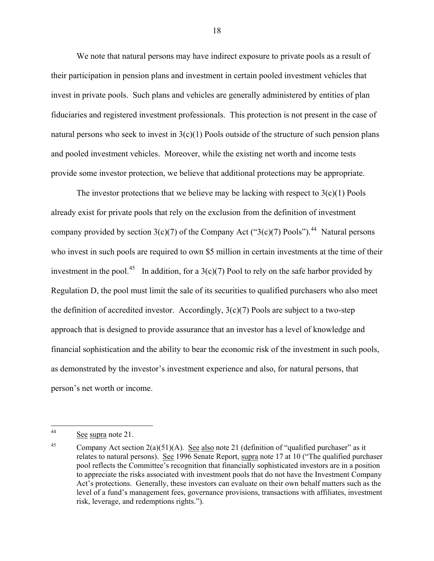We note that natural persons may have indirect exposure to private pools as a result of their participation in pension plans and investment in certain pooled investment vehicles that invest in private pools. Such plans and vehicles are generally administered by entities of plan fiduciaries and registered investment professionals. This protection is not present in the case of natural persons who seek to invest in  $3(c)(1)$  Pools outside of the structure of such pension plans and pooled investment vehicles. Moreover, while the existing net worth and income tests provide some investor protection, we believe that additional protections may be appropriate.

The investor protections that we believe may be lacking with respect to  $3(c)(1)$  Pools already exist for private pools that rely on the exclusion from the definition of investment company provided by section 3(c)(7) of the Company Act ("3(c)(7) Pools").<sup>[44](#page-17-0)</sup> Natural persons who invest in such pools are required to own \$5 million in certain investments at the time of their investment in the pool.<sup>[45](#page-17-1)</sup> In addition, for a 3(c)(7) Pool to rely on the safe harbor provided by Regulation D, the pool must limit the sale of its securities to qualified purchasers who also meet the definition of accredited investor. Accordingly,  $3(c)(7)$  Pools are subject to a two-step approach that is designed to provide assurance that an investor has a level of knowledge and financial sophistication and the ability to bear the economic risk of the investment in such pools, as demonstrated by the investor's investment experience and also, for natural persons, that person's net worth or income.

<span id="page-17-0"></span><sup>44</sup> See supra note 21.

<span id="page-17-1"></span><sup>&</sup>lt;sup>45</sup> Company Act section  $2(a)(51)(A)$ . See also note 21 (definition of "qualified purchaser" as it relates to natural persons). See 1996 Senate Report, supra note 17 at 10 ("The qualified purchaser pool reflects the Committee's recognition that financially sophisticated investors are in a position to appreciate the risks associated with investment pools that do not have the Investment Company Act's protections. Generally, these investors can evaluate on their own behalf matters such as the level of a fund's management fees, governance provisions, transactions with affiliates, investment risk, leverage, and redemptions rights.").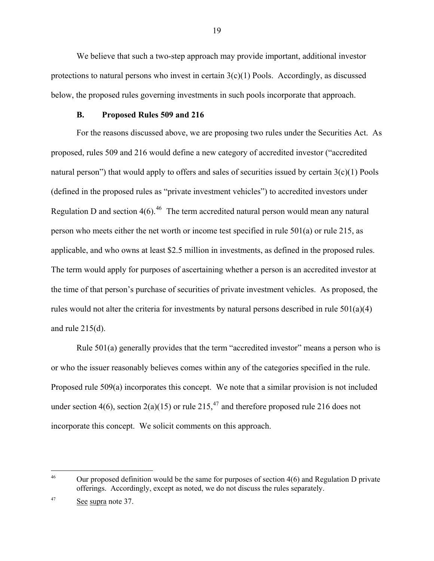<span id="page-18-0"></span>We believe that such a two-step approach may provide important, additional investor protections to natural persons who invest in certain 3(c)(1) Pools. Accordingly, as discussed below, the proposed rules governing investments in such pools incorporate that approach.

#### **B. Proposed Rules 509 and 216**

For the reasons discussed above, we are proposing two rules under the Securities Act. As proposed, rules 509 and 216 would define a new category of accredited investor ("accredited natural person") that would apply to offers and sales of securities issued by certain  $3(c)(1)$  Pools (defined in the proposed rules as "private investment vehicles") to accredited investors under Regulation D and section  $4(6)$ .<sup>[46](#page-18-1)</sup> The term accredited natural person would mean any natural person who meets either the net worth or income test specified in rule 501(a) or rule 215, as applicable, and who owns at least \$2.5 million in investments, as defined in the proposed rules. The term would apply for purposes of ascertaining whether a person is an accredited investor at the time of that person's purchase of securities of private investment vehicles. As proposed, the rules would not alter the criteria for investments by natural persons described in rule  $501(a)(4)$ and rule  $215(d)$ .

Rule 501(a) generally provides that the term "accredited investor" means a person who is or who the issuer reasonably believes comes within any of the categories specified in the rule. Proposed rule 509(a) incorporates this concept. We note that a similar provision is not included under section 4(6), section 2(a)(15) or rule 215,<sup>[47](#page-18-2)</sup> and therefore proposed rule 216 does not incorporate this concept. We solicit comments on this approach.

 $\overline{a}$ 

<span id="page-18-1"></span><sup>&</sup>lt;sup>46</sup> Our proposed definition would be the same for purposes of section  $4(6)$  and Regulation D private offerings. Accordingly, except as noted, we do not discuss the rules separately.

<span id="page-18-2"></span><sup>47</sup> See supra note 37.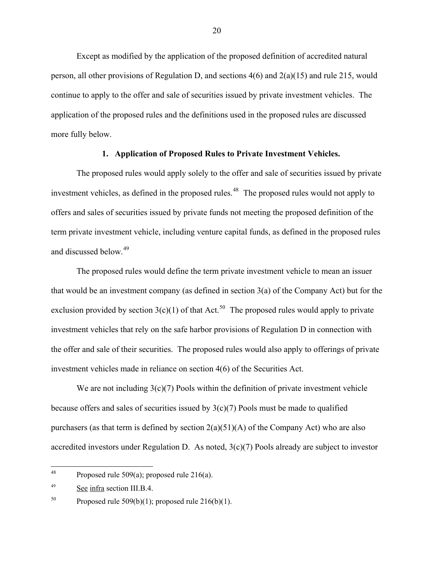Except as modified by the application of the proposed definition of accredited natural person, all other provisions of Regulation D, and sections 4(6) and 2(a)(15) and rule 215, would continue to apply to the offer and sale of securities issued by private investment vehicles. The application of the proposed rules and the definitions used in the proposed rules are discussed more fully below.

#### **1. Application of Proposed Rules to Private Investment Vehicles.**

 The proposed rules would apply solely to the offer and sale of securities issued by private investment vehicles, as defined in the proposed rules.<sup>[48](#page-19-0)</sup> The proposed rules would not apply to offers and sales of securities issued by private funds not meeting the proposed definition of the term private investment vehicle, including venture capital funds, as defined in the proposed rules and discussed below.[49](#page-19-1)

The proposed rules would define the term private investment vehicle to mean an issuer that would be an investment company (as defined in section 3(a) of the Company Act) but for the exclusion provided by section  $3(c)(1)$  of that Act.<sup>[50](#page-19-2)</sup> The proposed rules would apply to private investment vehicles that rely on the safe harbor provisions of Regulation D in connection with the offer and sale of their securities. The proposed rules would also apply to offerings of private investment vehicles made in reliance on section 4(6) of the Securities Act.

We are not including  $3(c)(7)$  Pools within the definition of private investment vehicle because offers and sales of securities issued by  $3(c)(7)$  Pools must be made to qualified purchasers (as that term is defined by section  $2(a)(51)(A)$  of the Company Act) who are also accredited investors under Regulation D. As noted, 3(c)(7) Pools already are subject to investor

<span id="page-19-0"></span><sup>48</sup> Proposed rule 509(a); proposed rule  $216(a)$ .

<span id="page-19-1"></span><sup>&</sup>lt;sup>49</sup> See infra section III.B.4.

<span id="page-19-2"></span><sup>&</sup>lt;sup>50</sup> Proposed rule 509(b)(1); proposed rule 216(b)(1).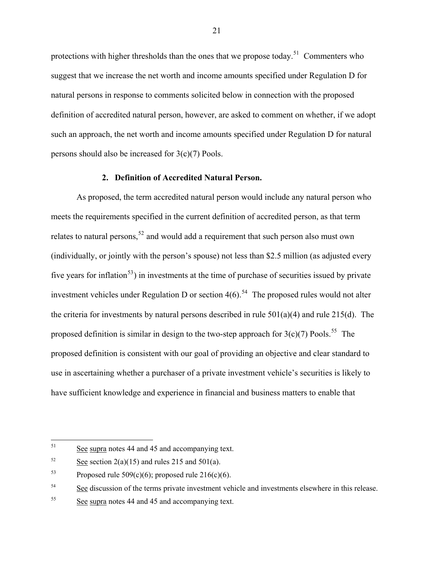protections with higher thresholds than the ones that we propose today.<sup>[51](#page-20-0)</sup> Commenters who suggest that we increase the net worth and income amounts specified under Regulation D for natural persons in response to comments solicited below in connection with the proposed definition of accredited natural person, however, are asked to comment on whether, if we adopt such an approach, the net worth and income amounts specified under Regulation D for natural persons should also be increased for  $3(c)(7)$  Pools.

### **2. Definition of Accredited Natural Person.**

As proposed, the term accredited natural person would include any natural person who meets the requirements specified in the current definition of accredited person, as that term relates to natural persons,  $52$  and would add a requirement that such person also must own (individually, or jointly with the person's spouse) not less than \$2.5 million (as adjusted every five years for inflation<sup>[53](#page-20-2)</sup>) in investments at the time of purchase of securities issued by private investment vehicles under Regulation D or section  $4(6)$ .<sup>[54](#page-20-3)</sup> The proposed rules would not alter the criteria for investments by natural persons described in rule  $501(a)(4)$  and rule  $215(d)$ . The proposed definition is similar in design to the two-step approach for  $3(c)(7)$  Pools.<sup>55</sup> The proposed definition is consistent with our goal of providing an objective and clear standard to use in ascertaining whether a purchaser of a private investment vehicle's securities is likely to have sufficient knowledge and experience in financial and business matters to enable that

<span id="page-20-3"></span><sup>54</sup> See discussion of the terms private investment vehicle and investments elsewhere in this release.

<span id="page-20-0"></span><sup>51</sup> See supra notes 44 and 45 and accompanying text.

<span id="page-20-1"></span><sup>&</sup>lt;sup>52</sup> See section 2(a)(15) and rules 215 and 501(a).

<span id="page-20-2"></span><sup>&</sup>lt;sup>53</sup> Proposed rule 509(c)(6); proposed rule 216(c)(6).

<span id="page-20-4"></span><sup>55</sup> See supra notes 44 and 45 and accompanying text.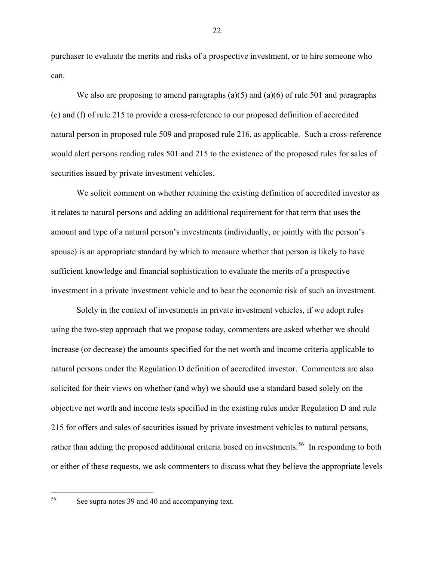purchaser to evaluate the merits and risks of a prospective investment, or to hire someone who can.

We also are proposing to amend paragraphs (a)(5) and (a)(6) of rule 501 and paragraphs (e) and (f) of rule 215 to provide a cross-reference to our proposed definition of accredited natural person in proposed rule 509 and proposed rule 216, as applicable. Such a cross-reference would alert persons reading rules 501 and 215 to the existence of the proposed rules for sales of securities issued by private investment vehicles.

We solicit comment on whether retaining the existing definition of accredited investor as it relates to natural persons and adding an additional requirement for that term that uses the amount and type of a natural person's investments (individually, or jointly with the person's spouse) is an appropriate standard by which to measure whether that person is likely to have sufficient knowledge and financial sophistication to evaluate the merits of a prospective investment in a private investment vehicle and to bear the economic risk of such an investment.

Solely in the context of investments in private investment vehicles, if we adopt rules using the two-step approach that we propose today, commenters are asked whether we should increase (or decrease) the amounts specified for the net worth and income criteria applicable to natural persons under the Regulation D definition of accredited investor. Commenters are also solicited for their views on whether (and why) we should use a standard based solely on the objective net worth and income tests specified in the existing rules under Regulation D and rule 215 for offers and sales of securities issued by private investment vehicles to natural persons, rather than adding the proposed additional criteria based on investments.<sup>[56](#page-21-0)</sup> In responding to both or either of these requests, we ask commenters to discuss what they believe the appropriate levels

<span id="page-21-0"></span>See supra notes 39 and 40 and accompanying text.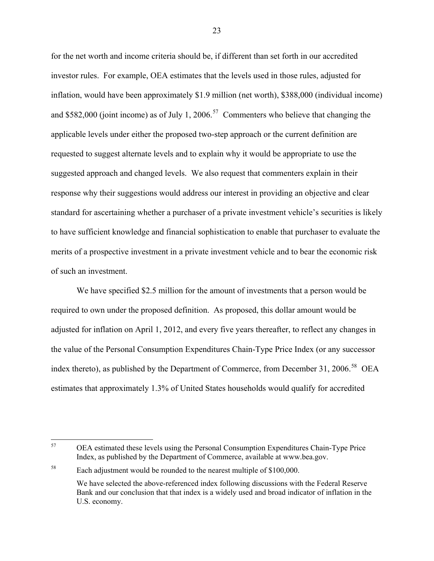for the net worth and income criteria should be, if different than set forth in our accredited investor rules. For example, OEA estimates that the levels used in those rules, adjusted for inflation, would have been approximately \$1.9 million (net worth), \$388,000 (individual income) and \$582,000 (joint income) as of July 1, 2006.<sup>[57](#page-22-0)</sup> Commenters who believe that changing the applicable levels under either the proposed two-step approach or the current definition are requested to suggest alternate levels and to explain why it would be appropriate to use the suggested approach and changed levels. We also request that commenters explain in their response why their suggestions would address our interest in providing an objective and clear standard for ascertaining whether a purchaser of a private investment vehicle's securities is likely to have sufficient knowledge and financial sophistication to enable that purchaser to evaluate the merits of a prospective investment in a private investment vehicle and to bear the economic risk of such an investment.

We have specified \$2.5 million for the amount of investments that a person would be required to own under the proposed definition. As proposed, this dollar amount would be adjusted for inflation on April 1, 2012, and every five years thereafter, to reflect any changes in the value of the Personal Consumption Expenditures Chain-Type Price Index (or any successor index thereto), as published by the Department of Commerce, from December 31, 2006.<sup>[58](#page-22-1)</sup> OEA estimates that approximately 1.3% of United States households would qualify for accredited

<span id="page-22-1"></span>58 Each adjustment would be rounded to the nearest multiple of \$100,000.

<span id="page-22-0"></span><sup>57</sup> 57 OEA estimated these levels using the Personal Consumption Expenditures Chain-Type Price Index, as published by the Department of Commerce, available at www.bea.gov.

We have selected the above-referenced index following discussions with the Federal Reserve Bank and our conclusion that that index is a widely used and broad indicator of inflation in the U.S. economy.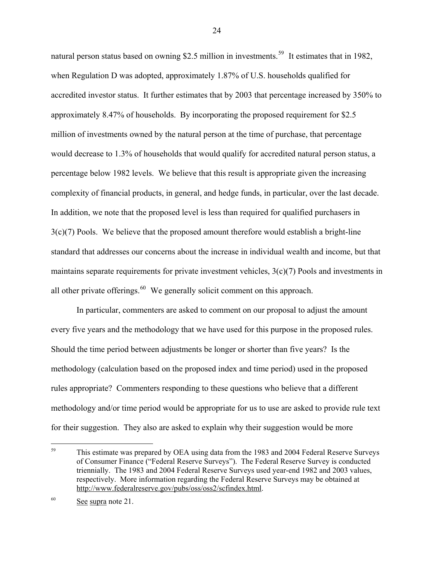natural person status based on owning \$2.5 million in investments.<sup>[59](#page-23-0)</sup> It estimates that in 1982, when Regulation D was adopted, approximately 1.87% of U.S. households qualified for accredited investor status. It further estimates that by 2003 that percentage increased by 350% to approximately 8.47% of households. By incorporating the proposed requirement for \$2.5 million of investments owned by the natural person at the time of purchase, that percentage would decrease to 1.3% of households that would qualify for accredited natural person status, a percentage below 1982 levels. We believe that this result is appropriate given the increasing complexity of financial products, in general, and hedge funds, in particular, over the last decade. In addition, we note that the proposed level is less than required for qualified purchasers in 3(c)(7) Pools. We believe that the proposed amount therefore would establish a bright-line standard that addresses our concerns about the increase in individual wealth and income, but that maintains separate requirements for private investment vehicles, 3(c)(7) Pools and investments in all other private offerings.<sup>[60](#page-23-1)</sup> We generally solicit comment on this approach.

In particular, commenters are asked to comment on our proposal to adjust the amount every five years and the methodology that we have used for this purpose in the proposed rules. Should the time period between adjustments be longer or shorter than five years? Is the methodology (calculation based on the proposed index and time period) used in the proposed rules appropriate? Commenters responding to these questions who believe that a different methodology and/or time period would be appropriate for us to use are asked to provide rule text for their suggestion. They also are asked to explain why their suggestion would be more

<span id="page-23-0"></span> $59$ This estimate was prepared by OEA using data from the 1983 and 2004 Federal Reserve Surveys of Consumer Finance ("Federal Reserve Surveys"). The Federal Reserve Survey is conducted triennially. The 1983 and 2004 Federal Reserve Surveys used year-end 1982 and 2003 values, respectively. More information regarding the Federal Reserve Surveys may be obtained at <http://www.federalreserve.gov/pubs/oss/oss2/scfindex.html>.

<span id="page-23-1"></span><sup>60</sup> See supra note 21.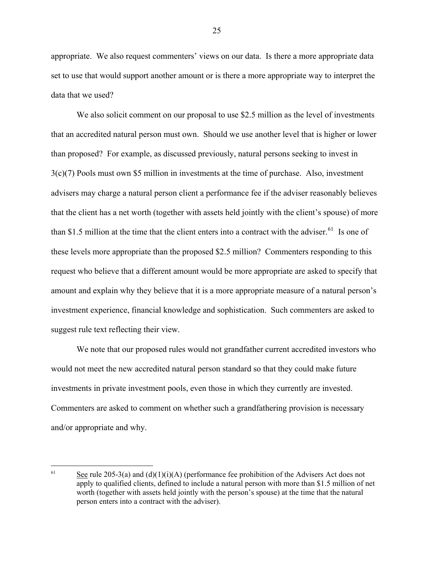appropriate. We also request commenters' views on our data. Is there a more appropriate data set to use that would support another amount or is there a more appropriate way to interpret the data that we used?

We also solicit comment on our proposal to use \$2.5 million as the level of investments that an accredited natural person must own. Should we use another level that is higher or lower than proposed? For example, as discussed previously, natural persons seeking to invest in 3(c)(7) Pools must own \$5 million in investments at the time of purchase. Also, investment advisers may charge a natural person client a performance fee if the adviser reasonably believes that the client has a net worth (together with assets held jointly with the client's spouse) of more than \$1.5 million at the time that the client enters into a contract with the adviser.<sup>[61](#page-24-0)</sup> Is one of these levels more appropriate than the proposed \$2.5 million? Commenters responding to this request who believe that a different amount would be more appropriate are asked to specify that amount and explain why they believe that it is a more appropriate measure of a natural person's investment experience, financial knowledge and sophistication. Such commenters are asked to suggest rule text reflecting their view.

We note that our proposed rules would not grandfather current accredited investors who would not meet the new accredited natural person standard so that they could make future investments in private investment pools, even those in which they currently are invested. Commenters are asked to comment on whether such a grandfathering provision is necessary and/or appropriate and why.

<span id="page-24-0"></span><sup>61</sup> See rule 205-3(a) and  $(d)(1)(i)(A)$  (performance fee prohibition of the Advisers Act does not apply to qualified clients, defined to include a natural person with more than \$1.5 million of net worth (together with assets held jointly with the person's spouse) at the time that the natural person enters into a contract with the adviser).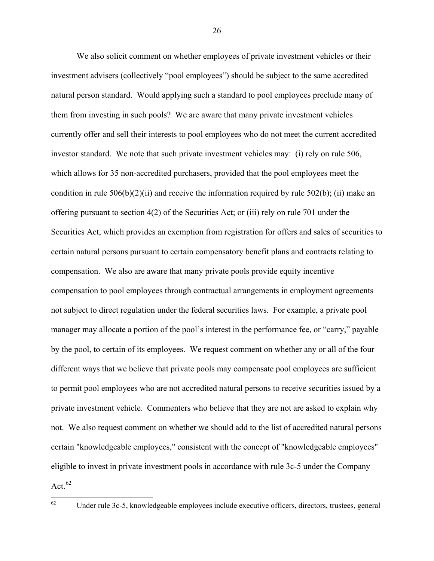We also solicit comment on whether employees of private investment vehicles or their investment advisers (collectively "pool employees") should be subject to the same accredited natural person standard. Would applying such a standard to pool employees preclude many of them from investing in such pools? We are aware that many private investment vehicles currently offer and sell their interests to pool employees who do not meet the current accredited investor standard. We note that such private investment vehicles may: (i) rely on rule 506, which allows for 35 non-accredited purchasers, provided that the pool employees meet the condition in rule  $506(b)(2)(ii)$  and receive the information required by rule  $502(b)$ ; (ii) make an offering pursuant to section 4(2) of the Securities Act; or (iii) rely on rule 701 under the Securities Act, which provides an exemption from registration for offers and sales of securities to certain natural persons pursuant to certain compensatory benefit plans and contracts relating to compensation. We also are aware that many private pools provide equity incentive compensation to pool employees through contractual arrangements in employment agreements not subject to direct regulation under the federal securities laws. For example, a private pool manager may allocate a portion of the pool's interest in the performance fee, or "carry," payable by the pool, to certain of its employees. We request comment on whether any or all of the four different ways that we believe that private pools may compensate pool employees are sufficient to permit pool employees who are not accredited natural persons to receive securities issued by a private investment vehicle. Commenters who believe that they are not are asked to explain why not. We also request comment on whether we should add to the list of accredited natural persons certain "knowledgeable employees," consistent with the concept of "knowledgeable employees" eligible to invest in private investment pools in accordance with rule 3c-5 under the Company Act. $62$ 

<span id="page-25-0"></span>Under rule 3c-5, knowledgeable employees include executive officers, directors, trustees, general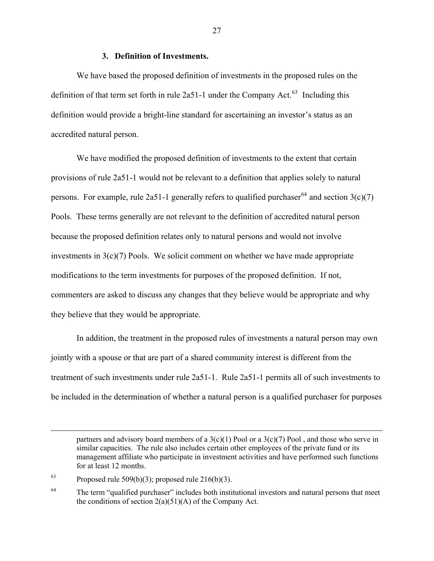#### **3. Definition of Investments.**

We have based the proposed definition of investments in the proposed rules on the definition of that term set forth in rule 2a51-1 under the Company Act.<sup>[63](#page-26-0)</sup> Including this definition would provide a bright-line standard for ascertaining an investor's status as an accredited natural person.

We have modified the proposed definition of investments to the extent that certain provisions of rule 2a51-1 would not be relevant to a definition that applies solely to natural persons. For example, rule 2a51-1 generally refers to qualified purchaser<sup>[64](#page-26-1)</sup> and section 3(c)(7) Pools. These terms generally are not relevant to the definition of accredited natural person because the proposed definition relates only to natural persons and would not involve investments in  $3(c)(7)$  Pools. We solicit comment on whether we have made appropriate modifications to the term investments for purposes of the proposed definition. If not, commenters are asked to discuss any changes that they believe would be appropriate and why they believe that they would be appropriate.

In addition, the treatment in the proposed rules of investments a natural person may own jointly with a spouse or that are part of a shared community interest is different from the treatment of such investments under rule 2a51-1. Rule 2a51-1 permits all of such investments to be included in the determination of whether a natural person is a qualified purchaser for purposes

 $\overline{a}$ 

partners and advisory board members of a  $3(c)(1)$  Pool or a  $3(c)(7)$  Pool, and those who serve in similar capacities. The rule also includes certain other employees of the private fund or its management affiliate who participate in investment activities and have performed such functions for at least 12 months.

<span id="page-26-0"></span><sup>&</sup>lt;sup>63</sup> Proposed rule 509(b)(3); proposed rule 216(b)(3).

<span id="page-26-1"></span><sup>&</sup>lt;sup>64</sup> The term "qualified purchaser" includes both institutional investors and natural persons that meet the conditions of section  $2(a)(51)(A)$  of the Company Act.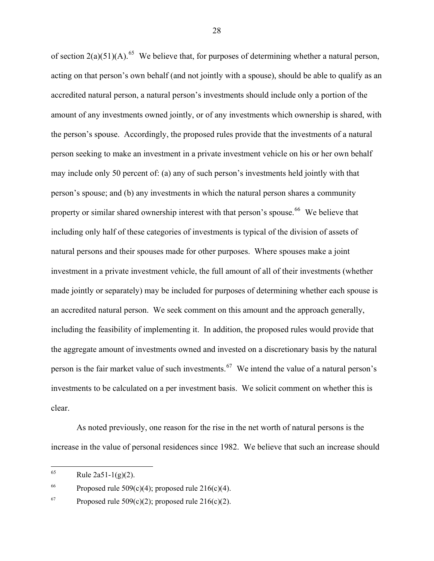of section  $2(a)(51)(A)$ .<sup>[65](#page-27-0)</sup> We believe that, for purposes of determining whether a natural person, acting on that person's own behalf (and not jointly with a spouse), should be able to qualify as an accredited natural person, a natural person's investments should include only a portion of the amount of any investments owned jointly, or of any investments which ownership is shared, with the person's spouse. Accordingly, the proposed rules provide that the investments of a natural person seeking to make an investment in a private investment vehicle on his or her own behalf may include only 50 percent of: (a) any of such person's investments held jointly with that person's spouse; and (b) any investments in which the natural person shares a community property or similar shared ownership interest with that person's spouse.<sup>[66](#page-27-1)</sup> We believe that including only half of these categories of investments is typical of the division of assets of natural persons and their spouses made for other purposes. Where spouses make a joint investment in a private investment vehicle, the full amount of all of their investments (whether made jointly or separately) may be included for purposes of determining whether each spouse is an accredited natural person. We seek comment on this amount and the approach generally, including the feasibility of implementing it. In addition, the proposed rules would provide that the aggregate amount of investments owned and invested on a discretionary basis by the natural person is the fair market value of such investments.<sup>[67](#page-27-2)</sup> We intend the value of a natural person's investments to be calculated on a per investment basis. We solicit comment on whether this is clear.

As noted previously, one reason for the rise in the net worth of natural persons is the increase in the value of personal residences since 1982. We believe that such an increase should

<span id="page-27-0"></span><sup>65</sup> Rule  $2a51-1(g)(2)$ .

<span id="page-27-1"></span><sup>&</sup>lt;sup>66</sup> Proposed rule 509(c)(4); proposed rule 216(c)(4).

<span id="page-27-2"></span><sup>&</sup>lt;sup>67</sup> Proposed rule 509(c)(2); proposed rule 216(c)(2).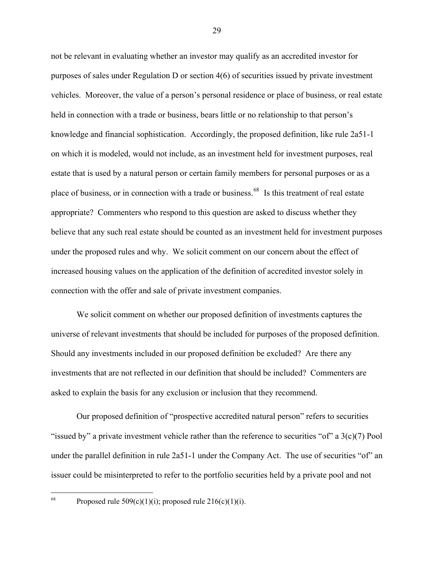not be relevant in evaluating whether an investor may qualify as an accredited investor for purposes of sales under Regulation D or section 4(6) of securities issued by private investment vehicles. Moreover, the value of a person's personal residence or place of business, or real estate held in connection with a trade or business, bears little or no relationship to that person's knowledge and financial sophistication. Accordingly, the proposed definition, like rule 2a51-1 on which it is modeled, would not include, as an investment held for investment purposes, real estate that is used by a natural person or certain family members for personal purposes or as a place of business, or in connection with a trade or business.<sup>[68](#page-28-0)</sup> Is this treatment of real estate appropriate? Commenters who respond to this question are asked to discuss whether they believe that any such real estate should be counted as an investment held for investment purposes under the proposed rules and why. We solicit comment on our concern about the effect of increased housing values on the application of the definition of accredited investor solely in connection with the offer and sale of private investment companies.

We solicit comment on whether our proposed definition of investments captures the universe of relevant investments that should be included for purposes of the proposed definition. Should any investments included in our proposed definition be excluded? Are there any investments that are not reflected in our definition that should be included? Commenters are asked to explain the basis for any exclusion or inclusion that they recommend.

Our proposed definition of "prospective accredited natural person" refers to securities "issued by" a private investment vehicle rather than the reference to securities "of" a  $3(c)(7)$  Pool under the parallel definition in rule 2a51-1 under the Company Act. The use of securities "of" an issuer could be misinterpreted to refer to the portfolio securities held by a private pool and not

 $\overline{a}$ 

<span id="page-28-0"></span><sup>&</sup>lt;sup>68</sup> Proposed rule 509(c)(1)(i); proposed rule 216(c)(1)(i).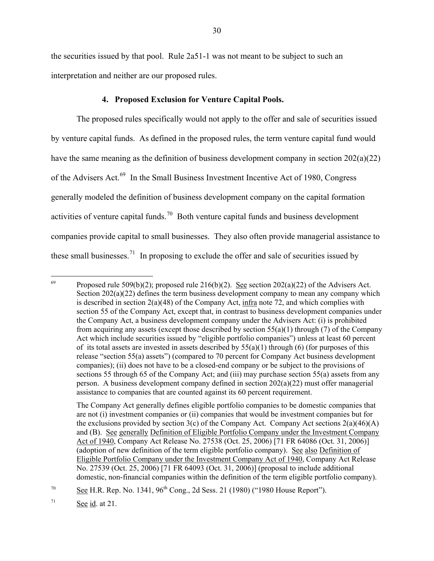the securities issued by that pool. Rule 2a51-1 was not meant to be subject to such an interpretation and neither are our proposed rules.

#### **4. Proposed Exclusion for Venture Capital Pools.**

 The proposed rules specifically would not apply to the offer and sale of securities issued by venture capital funds. As defined in the proposed rules, the term venture capital fund would have the same meaning as the definition of business development company in section 202(a)(22) of the Advisers Act.[69](#page-29-0) In the Small Business Investment Incentive Act of 1980, Congress generally modeled the definition of business development company on the capital formation activities of venture capital funds.[70](#page-29-1) Both venture capital funds and business development companies provide capital to small businesses. They also often provide managerial assistance to these small businesses.<sup>[71](#page-29-2)</sup> In proposing to exclude the offer and sale of securities issued by

<span id="page-29-0"></span> $\overline{a}$ <sup>69</sup> Proposed rule 509(b)(2); proposed rule 216(b)(2). See section 202(a)(22) of the Advisers Act. Section  $202(a)(22)$  defines the term business development company to mean any company which is described in section  $2(a)(48)$  of the Company Act, infra note 72, and which complies with section 55 of the Company Act, except that, in contrast to business development companies under the Company Act, a business development company under the Advisers Act: (i) is prohibited from acquiring any assets (except those described by section  $55(a)(1)$  through (7) of the Company Act which include securities issued by "eligible portfolio companies") unless at least 60 percent of its total assets are invested in assets described by  $55(a)(1)$  through (6) (for purposes of this release "section 55(a) assets") (compared to 70 percent for Company Act business development companies); (ii) does not have to be a closed-end company or be subject to the provisions of sections 55 through 65 of the Company Act; and (iii) may purchase section 55(a) assets from any person. A business development company defined in section 202(a)(22) must offer managerial assistance to companies that are counted against its 60 percent requirement.

The Company Act generally defines eligible portfolio companies to be domestic companies that are not (i) investment companies or (ii) companies that would be investment companies but for the exclusions provided by section 3(c) of the Company Act. Company Act sections  $2(a)(46)(A)$ and (B). See generally Definition of Eligible Portfolio Company under the Investment Company Act of 1940, Company Act Release No. 27538 (Oct. 25, 2006) [71 FR 64086 (Oct. 31, 2006)] (adoption of new definition of the term eligible portfolio company). See also Definition of Eligible Portfolio Company under the Investment Company Act of 1940, Company Act Release No. 27539 (Oct. 25, 2006) [71 FR 64093 (Oct. 31, 2006)] (proposal to include additional domestic, non-financial companies within the definition of the term eligible portfolio company).

<sup>&</sup>lt;sup>70</sup> See H.R. Rep. No. 1341,  $96<sup>th</sup>$  Cong., 2d Sess. 21 (1980) ("1980 House Report").

<span id="page-29-2"></span><span id="page-29-1"></span> $71$  See id. at 21.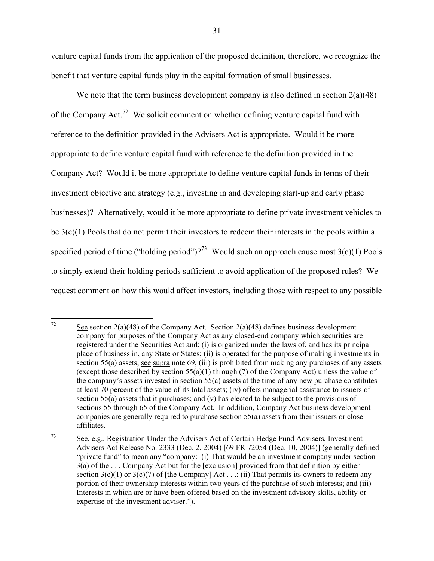venture capital funds from the application of the proposed definition, therefore, we recognize the benefit that venture capital funds play in the capital formation of small businesses.

We note that the term business development company is also defined in section  $2(a)(48)$ of the Company Act.<sup>[72](#page-30-0)</sup> We solicit comment on whether defining venture capital fund with reference to the definition provided in the Advisers Act is appropriate. Would it be more appropriate to define venture capital fund with reference to the definition provided in the Company Act? Would it be more appropriate to define venture capital funds in terms of their investment objective and strategy (e.g., investing in and developing start-up and early phase businesses)? Alternatively, would it be more appropriate to define private investment vehicles to be  $3(c)(1)$  Pools that do not permit their investors to redeem their interests in the pools within a specified period of time ("holding period")?<sup>[73](#page-30-1)</sup> Would such an approach cause most  $3(c)(1)$  Pools to simply extend their holding periods sufficient to avoid application of the proposed rules? We request comment on how this would affect investors, including those with respect to any possible

<span id="page-30-0"></span> $72$ See section  $2(a)(48)$  of the Company Act. Section  $2(a)(48)$  defines business development company for purposes of the Company Act as any closed-end company which securities are registered under the Securities Act and: (i) is organized under the laws of, and has its principal place of business in, any State or States; (ii) is operated for the purpose of making investments in section 55(a) assets, see supra note 69, (iii) is prohibited from making any purchases of any assets (except those described by section  $55(a)(1)$  through (7) of the Company Act) unless the value of the company's assets invested in section 55(a) assets at the time of any new purchase constitutes at least 70 percent of the value of its total assets; (iv) offers managerial assistance to issuers of section 55(a) assets that it purchases; and (v) has elected to be subject to the provisions of sections 55 through 65 of the Company Act. In addition, Company Act business development companies are generally required to purchase section 55(a) assets from their issuers or close affiliates.

<span id="page-30-1"></span><sup>73</sup> See, e.g., Registration Under the Advisers Act of Certain Hedge Fund Advisers, Investment Advisers Act Release No. 2333 (Dec. 2, 2004) [69 FR 72054 (Dec. 10, 2004)] (generally defined "private fund" to mean any "company: (i) That would be an investment company under section 3(a) of the . . . Company Act but for the [exclusion] provided from that definition by either section  $3(c)(1)$  or  $3(c)(7)$  of [the Company] Act . . .; (ii) That permits its owners to redeem any portion of their ownership interests within two years of the purchase of such interests; and (iii) Interests in which are or have been offered based on the investment advisory skills, ability or expertise of the investment adviser.").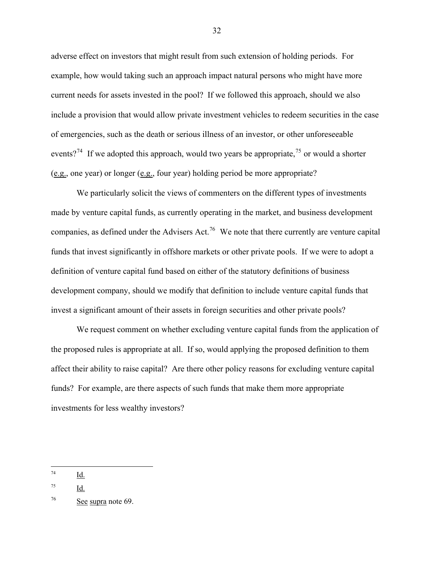adverse effect on investors that might result from such extension of holding periods. For example, how would taking such an approach impact natural persons who might have more current needs for assets invested in the pool? If we followed this approach, should we also include a provision that would allow private investment vehicles to redeem securities in the case of emergencies, such as the death or serious illness of an investor, or other unforeseeable events?<sup>[74](#page-31-0)</sup> If we adopted this approach, would two years be appropriate,<sup>[75](#page-31-1)</sup> or would a shorter (e.g., one year) or longer (e.g., four year) holding period be more appropriate?

We particularly solicit the views of commenters on the different types of investments made by venture capital funds, as currently operating in the market, and business development companies, as defined under the Advisers Act.<sup>[76](#page-31-2)</sup> We note that there currently are venture capital funds that invest significantly in offshore markets or other private pools. If we were to adopt a definition of venture capital fund based on either of the statutory definitions of business development company, should we modify that definition to include venture capital funds that invest a significant amount of their assets in foreign securities and other private pools?

We request comment on whether excluding venture capital funds from the application of the proposed rules is appropriate at all. If so, would applying the proposed definition to them affect their ability to raise capital? Are there other policy reasons for excluding venture capital funds? For example, are there aspects of such funds that make them more appropriate investments for less wealthy investors?

 $\overline{a}$ 

<span id="page-31-0"></span> $^{74}$  Id.

<span id="page-31-1"></span><sup>75</sup> Id.

<span id="page-31-2"></span> $\frac{\text{See} \text{ supra}}{26}$  note 69.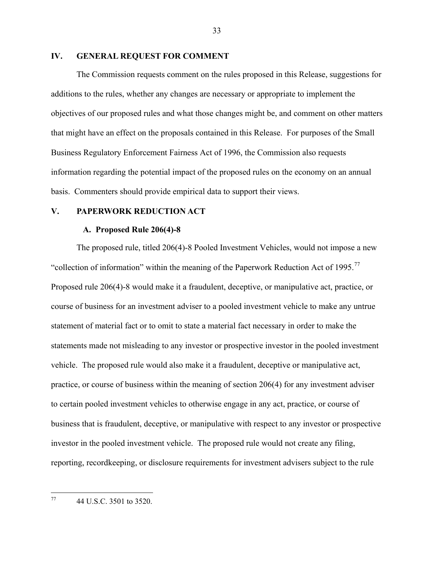### <span id="page-32-0"></span>**IV. GENERAL REQUEST FOR COMMENT**

The Commission requests comment on the rules proposed in this Release, suggestions for additions to the rules, whether any changes are necessary or appropriate to implement the objectives of our proposed rules and what those changes might be, and comment on other matters that might have an effect on the proposals contained in this Release. For purposes of the Small Business Regulatory Enforcement Fairness Act of 1996, the Commission also requests information regarding the potential impact of the proposed rules on the economy on an annual basis. Commenters should provide empirical data to support their views.

### **V. PAPERWORK REDUCTION ACT**

#### **A. Proposed Rule 206(4)-8**

The proposed rule, titled 206(4)-8 Pooled Investment Vehicles, would not impose a new "collection of information" within the meaning of the Paperwork Reduction Act of 1995.<sup>[77](#page-32-1)</sup> Proposed rule 206(4)-8 would make it a fraudulent, deceptive, or manipulative act, practice, or course of business for an investment adviser to a pooled investment vehicle to make any untrue statement of material fact or to omit to state a material fact necessary in order to make the statements made not misleading to any investor or prospective investor in the pooled investment vehicle. The proposed rule would also make it a fraudulent, deceptive or manipulative act, practice, or course of business within the meaning of section 206(4) for any investment adviser to certain pooled investment vehicles to otherwise engage in any act, practice, or course of business that is fraudulent, deceptive, or manipulative with respect to any investor or prospective investor in the pooled investment vehicle. The proposed rule would not create any filing, reporting, recordkeeping, or disclosure requirements for investment advisers subject to the rule

<span id="page-32-1"></span>77 44 U.S.C. 3501 to 3520.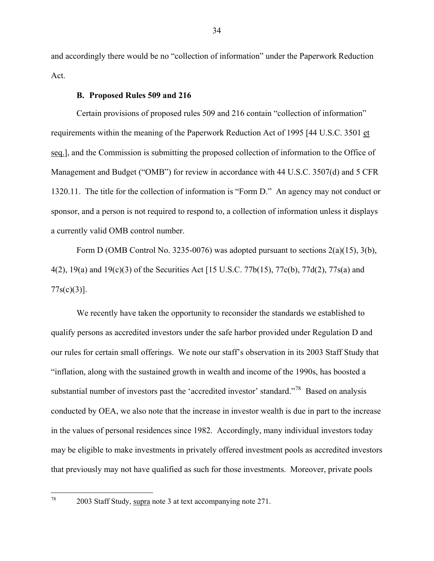<span id="page-33-0"></span>and accordingly there would be no "collection of information" under the Paperwork Reduction Act.

### **B. Proposed Rules 509 and 216**

 Certain provisions of proposed rules 509 and 216 contain "collection of information" requirements within the meaning of the Paperwork Reduction Act of 1995 [44 U.S.C. 3501 et seq.], and the Commission is submitting the proposed collection of information to the Office of Management and Budget ("OMB") for review in accordance with 44 U.S.C. 3507(d) and 5 CFR 1320.11. The title for the collection of information is "Form D." An agency may not conduct or sponsor, and a person is not required to respond to, a collection of information unless it displays a currently valid OMB control number.

Form D (OMB Control No. 3235-0076) was adopted pursuant to sections  $2(a)(15)$ ,  $3(b)$ , 4(2), 19(a) and 19(c)(3) of the Securities Act [15 U.S.C. 77b(15), 77c(b), 77d(2), 77s(a) and  $77s(c)(3)$ ].

We recently have taken the opportunity to reconsider the standards we established to qualify persons as accredited investors under the safe harbor provided under Regulation D and our rules for certain small offerings. We note our staff's observation in its 2003 Staff Study that "inflation, along with the sustained growth in wealth and income of the 1990s, has boosted a substantial number of investors past the 'accredited investor' standard."<sup>[78](#page-33-1)</sup> Based on analysis conducted by OEA, we also note that the increase in investor wealth is due in part to the increase in the values of personal residences since 1982. Accordingly, many individual investors today may be eligible to make investments in privately offered investment pools as accredited investors that previously may not have qualified as such for those investments. Moreover, private pools

<span id="page-33-1"></span><sup>2003</sup> Staff Study, supra note 3 at text accompanying note 271.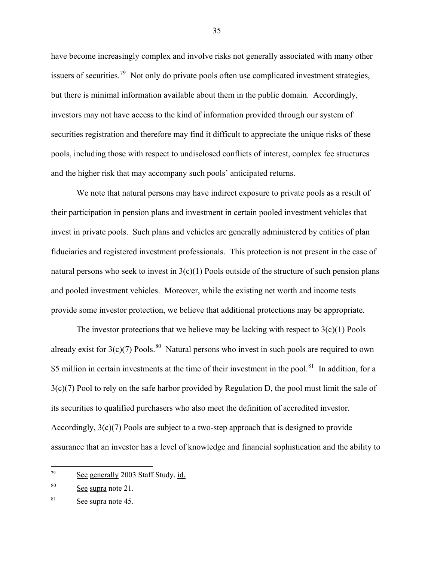have become increasingly complex and involve risks not generally associated with many other issuers of securities.<sup>[79](#page-34-0)</sup> Not only do private pools often use complicated investment strategies, but there is minimal information available about them in the public domain. Accordingly, investors may not have access to the kind of information provided through our system of securities registration and therefore may find it difficult to appreciate the unique risks of these pools, including those with respect to undisclosed conflicts of interest, complex fee structures and the higher risk that may accompany such pools' anticipated returns.

We note that natural persons may have indirect exposure to private pools as a result of their participation in pension plans and investment in certain pooled investment vehicles that invest in private pools. Such plans and vehicles are generally administered by entities of plan fiduciaries and registered investment professionals. This protection is not present in the case of natural persons who seek to invest in  $3(c)(1)$  Pools outside of the structure of such pension plans and pooled investment vehicles. Moreover, while the existing net worth and income tests provide some investor protection, we believe that additional protections may be appropriate.

The investor protections that we believe may be lacking with respect to  $3(c)(1)$  Pools already exist for  $3(c)(7)$  Pools.<sup>[80](#page-34-1)</sup> Natural persons who invest in such pools are required to own \$5 million in certain investments at the time of their investment in the pool.<sup>[81](#page-34-2)</sup> In addition, for a 3(c)(7) Pool to rely on the safe harbor provided by Regulation D, the pool must limit the sale of its securities to qualified purchasers who also meet the definition of accredited investor. Accordingly,  $3(c)(7)$  Pools are subject to a two-step approach that is designed to provide assurance that an investor has a level of knowledge and financial sophistication and the ability to

 $\overline{a}$ 

<span id="page-34-0"></span><sup>&</sup>lt;sup>79</sup> See generally 2003 Staff Study, id.

<span id="page-34-1"></span><sup>80</sup> See supra note 21.

<span id="page-34-2"></span> $81$  See supra note 45.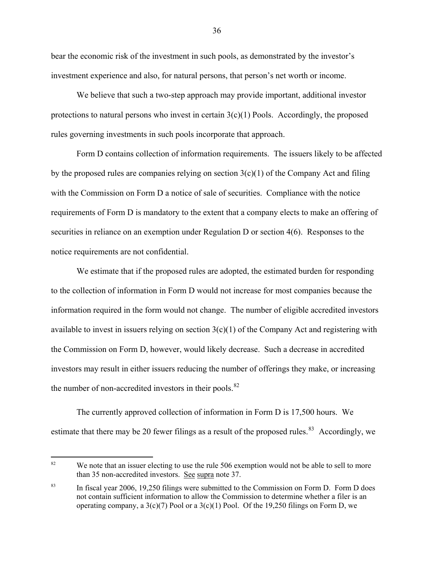bear the economic risk of the investment in such pools, as demonstrated by the investor's investment experience and also, for natural persons, that person's net worth or income.

We believe that such a two-step approach may provide important, additional investor protections to natural persons who invest in certain  $3(c)(1)$  Pools. Accordingly, the proposed rules governing investments in such pools incorporate that approach.

Form D contains collection of information requirements. The issuers likely to be affected by the proposed rules are companies relying on section  $3(c)(1)$  of the Company Act and filing with the Commission on Form D a notice of sale of securities. Compliance with the notice requirements of Form D is mandatory to the extent that a company elects to make an offering of securities in reliance on an exemption under Regulation D or section 4(6). Responses to the notice requirements are not confidential.

 We estimate that if the proposed rules are adopted, the estimated burden for responding to the collection of information in Form D would not increase for most companies because the information required in the form would not change. The number of eligible accredited investors available to invest in issuers relying on section  $3(c)(1)$  of the Company Act and registering with the Commission on Form D, however, would likely decrease. Such a decrease in accredited investors may result in either issuers reducing the number of offerings they make, or increasing the number of non-accredited investors in their pools. $82$ 

The currently approved collection of information in Form D is 17,500 hours. We estimate that there may be 20 fewer filings as a result of the proposed rules.<sup>[83](#page-35-1)</sup> Accordingly, we

<span id="page-35-0"></span><sup>82</sup> We note that an issuer electing to use the rule 506 exemption would not be able to sell to more than 35 non-accredited investors. See supra note 37.

<span id="page-35-1"></span><sup>&</sup>lt;sup>83</sup> In fiscal year 2006, 19,250 filings were submitted to the Commission on Form D. Form D does not contain sufficient information to allow the Commission to determine whether a filer is an operating company, a  $3(c)(7)$  Pool or a  $3(c)(1)$  Pool. Of the 19,250 filings on Form D, we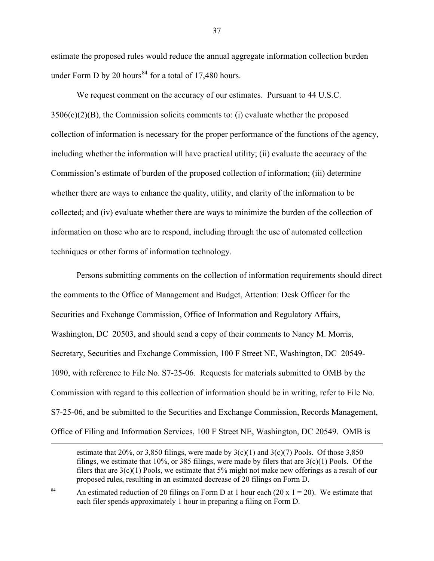estimate the proposed rules would reduce the annual aggregate information collection burden under Form D by 20 hours<sup>[84](#page-36-0)</sup> for a total of 17,480 hours.

We request comment on the accuracy of our estimates. Pursuant to 44 U.S.C.  $3506(c)(2)(B)$ , the Commission solicits comments to: (i) evaluate whether the proposed collection of information is necessary for the proper performance of the functions of the agency, including whether the information will have practical utility; (ii) evaluate the accuracy of the Commission's estimate of burden of the proposed collection of information; (iii) determine whether there are ways to enhance the quality, utility, and clarity of the information to be collected; and (iv) evaluate whether there are ways to minimize the burden of the collection of information on those who are to respond, including through the use of automated collection techniques or other forms of information technology.

 Persons submitting comments on the collection of information requirements should direct the comments to the Office of Management and Budget, Attention: Desk Officer for the Securities and Exchange Commission, Office of Information and Regulatory Affairs, Washington, DC 20503, and should send a copy of their comments to Nancy M. Morris, Secretary, Securities and Exchange Commission, 100 F Street NE, Washington, DC 20549- 1090, with reference to File No. S7-25-06. Requests for materials submitted to OMB by the Commission with regard to this collection of information should be in writing, refer to File No. S7-25-06, and be submitted to the Securities and Exchange Commission, Records Management, Office of Filing and Information Services, 100 F Street NE, Washington, DC 20549. OMB is

<span id="page-36-0"></span><sup>84</sup> An estimated reduction of 20 filings on Form D at 1 hour each (20 x 1 = 20). We estimate that each filer spends approximately 1 hour in preparing a filing on Form D.

 $\overline{a}$ 

estimate that 20%, or 3,850 filings, were made by  $3(c)(1)$  and  $3(c)(7)$  Pools. Of those 3,850 filings, we estimate that  $10\%$ , or 385 filings, were made by filers that are  $3(c)(1)$  Pools. Of the filers that are  $3(c)(1)$  Pools, we estimate that  $5%$  might not make new offerings as a result of our proposed rules, resulting in an estimated decrease of 20 filings on Form D.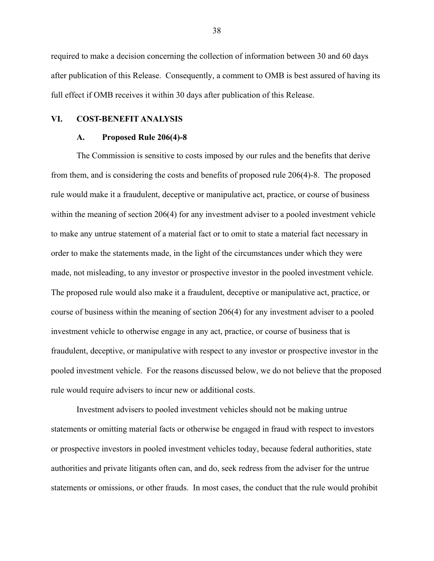<span id="page-37-0"></span>required to make a decision concerning the collection of information between 30 and 60 days after publication of this Release. Consequently, a comment to OMB is best assured of having its full effect if OMB receives it within 30 days after publication of this Release.

### **VI. COST-BENEFIT ANALYSIS**

#### **A. Proposed Rule 206(4)-8**

The Commission is sensitive to costs imposed by our rules and the benefits that derive from them, and is considering the costs and benefits of proposed rule 206(4)-8. The proposed rule would make it a fraudulent, deceptive or manipulative act, practice, or course of business within the meaning of section 206(4) for any investment adviser to a pooled investment vehicle to make any untrue statement of a material fact or to omit to state a material fact necessary in order to make the statements made, in the light of the circumstances under which they were made, not misleading, to any investor or prospective investor in the pooled investment vehicle. The proposed rule would also make it a fraudulent, deceptive or manipulative act, practice, or course of business within the meaning of section 206(4) for any investment adviser to a pooled investment vehicle to otherwise engage in any act, practice, or course of business that is fraudulent, deceptive, or manipulative with respect to any investor or prospective investor in the pooled investment vehicle. For the reasons discussed below, we do not believe that the proposed rule would require advisers to incur new or additional costs.

Investment advisers to pooled investment vehicles should not be making untrue statements or omitting material facts or otherwise be engaged in fraud with respect to investors or prospective investors in pooled investment vehicles today, because federal authorities, state authorities and private litigants often can, and do, seek redress from the adviser for the untrue statements or omissions, or other frauds. In most cases, the conduct that the rule would prohibit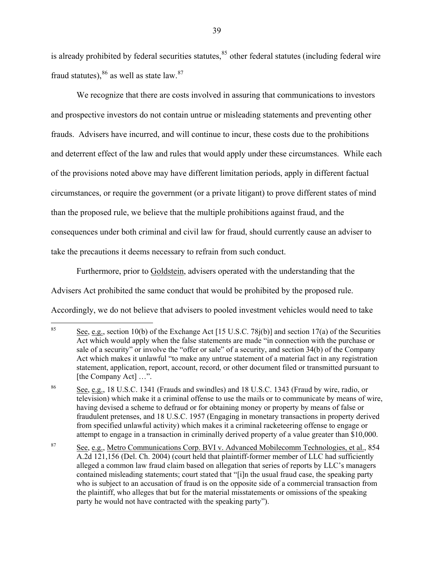is already prohibited by federal securities statutes, $85$  other federal statutes (including federal wire fraud statutes),  $86$  as well as state law. $87$ 

We recognize that there are costs involved in assuring that communications to investors and prospective investors do not contain untrue or misleading statements and preventing other frauds. Advisers have incurred, and will continue to incur, these costs due to the prohibitions and deterrent effect of the law and rules that would apply under these circumstances. While each of the provisions noted above may have different limitation periods, apply in different factual circumstances, or require the government (or a private litigant) to prove different states of mind than the proposed rule, we believe that the multiple prohibitions against fraud, and the consequences under both criminal and civil law for fraud, should currently cause an adviser to take the precautions it deems necessary to refrain from such conduct.

Furthermore, prior to Goldstein, advisers operated with the understanding that the Advisers Act prohibited the same conduct that would be prohibited by the proposed rule. Accordingly, we do not believe that advisers to pooled investment vehicles would need to take

<span id="page-38-0"></span><sup>85</sup> 85 See, e.g., section 10(b) of the Exchange Act [15 U.S.C. 78j(b)] and section 17(a) of the Securities Act which would apply when the false statements are made "in connection with the purchase or sale of a security" or involve the "offer or sale" of a security, and section 34(b) of the Company Act which makes it unlawful "to make any untrue statement of a material fact in any registration statement, application, report, account, record, or other document filed or transmitted pursuant to [the Company Act] ...".

<span id="page-38-1"></span><sup>&</sup>lt;sup>86</sup> See, e.g., 18 U.S.C. 1341 (Frauds and swindles) and 18 U.S.C. 1343 (Fraud by wire, radio, or television) which make it a criminal offense to use the mails or to communicate by means of wire, having devised a scheme to defraud or for obtaining money or property by means of false or fraudulent pretenses, and 18 U.S.C. 1957 (Engaging in monetary transactions in property derived from specified unlawful activity) which makes it a criminal racketeering offense to engage or attempt to engage in a transaction in criminally derived property of a value greater than \$10,000.

<span id="page-38-2"></span><sup>87</sup> See, e.g., Metro Communications Corp. BVI v. Advanced Mobilecomm Technologies, et al., 854 A.2d 121,156 (Del. Ch. 2004) (court held that plaintiff-former member of LLC had sufficiently alleged a common law fraud claim based on allegation that series of reports by LLC's managers contained misleading statements; court stated that "[i]n the usual fraud case, the speaking party who is subject to an accusation of fraud is on the opposite side of a commercial transaction from the plaintiff, who alleges that but for the material misstatements or omissions of the speaking party he would not have contracted with the speaking party").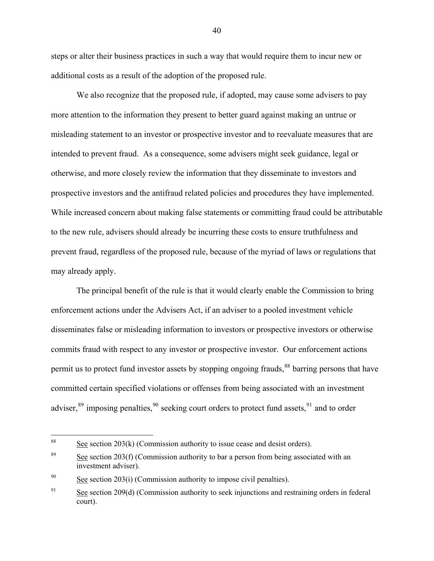steps or alter their business practices in such a way that would require them to incur new or additional costs as a result of the adoption of the proposed rule.

We also recognize that the proposed rule, if adopted, may cause some advisers to pay more attention to the information they present to better guard against making an untrue or misleading statement to an investor or prospective investor and to reevaluate measures that are intended to prevent fraud. As a consequence, some advisers might seek guidance, legal or otherwise, and more closely review the information that they disseminate to investors and prospective investors and the antifraud related policies and procedures they have implemented. While increased concern about making false statements or committing fraud could be attributable to the new rule, advisers should already be incurring these costs to ensure truthfulness and prevent fraud, regardless of the proposed rule, because of the myriad of laws or regulations that may already apply.

The principal benefit of the rule is that it would clearly enable the Commission to bring enforcement actions under the Advisers Act, if an adviser to a pooled investment vehicle disseminates false or misleading information to investors or prospective investors or otherwise commits fraud with respect to any investor or prospective investor. Our enforcement actions permit us to protect fund investor assets by stopping ongoing frauds,<sup>88</sup> barring persons that have committed certain specified violations or offenses from being associated with an investment adviser,  $89$  imposing penalties,  $90$  seeking court orders to protect fund assets,  $91$  and to order

<span id="page-39-0"></span> $88\,$ See section  $203(k)$  (Commission authority to issue cease and desist orders).

<span id="page-39-1"></span><sup>&</sup>lt;sup>89</sup> See section 203(f) (Commission authority to bar a person from being associated with an investment adviser).

<span id="page-39-2"></span> $\frac{90}{20}$  See section 203(i) (Commission authority to impose civil penalties).

<span id="page-39-3"></span><sup>&</sup>lt;sup>91</sup> See section 209(d) (Commission authority to seek injunctions and restraining orders in federal court).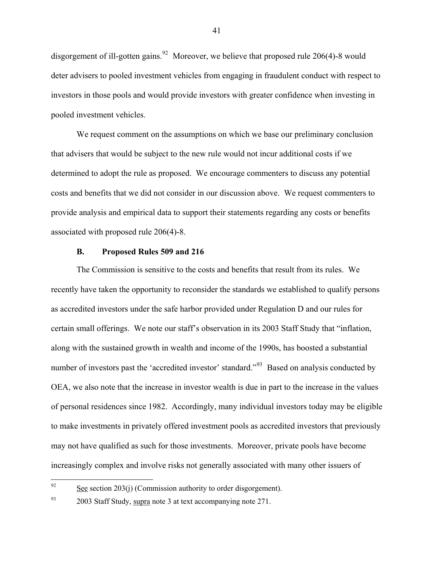<span id="page-40-0"></span>disgorgement of ill-gotten gains.<sup>[92](#page-40-1)</sup> Moreover, we believe that proposed rule 206(4)-8 would deter advisers to pooled investment vehicles from engaging in fraudulent conduct with respect to investors in those pools and would provide investors with greater confidence when investing in pooled investment vehicles.

We request comment on the assumptions on which we base our preliminary conclusion that advisers that would be subject to the new rule would not incur additional costs if we determined to adopt the rule as proposed. We encourage commenters to discuss any potential costs and benefits that we did not consider in our discussion above. We request commenters to provide analysis and empirical data to support their statements regarding any costs or benefits associated with proposed rule 206(4)-8.

#### **B. Proposed Rules 509 and 216**

The Commission is sensitive to the costs and benefits that result from its rules. We recently have taken the opportunity to reconsider the standards we established to qualify persons as accredited investors under the safe harbor provided under Regulation D and our rules for certain small offerings. We note our staff's observation in its 2003 Staff Study that "inflation, along with the sustained growth in wealth and income of the 1990s, has boosted a substantial number of investors past the 'accredited investor' standard."<sup>[93](#page-40-2)</sup> Based on analysis conducted by OEA, we also note that the increase in investor wealth is due in part to the increase in the values of personal residences since 1982. Accordingly, many individual investors today may be eligible to make investments in privately offered investment pools as accredited investors that previously may not have qualified as such for those investments. Moreover, private pools have become increasingly complex and involve risks not generally associated with many other issuers of

<span id="page-40-1"></span><sup>92</sup> See section  $203(i)$  (Commission authority to order disgorgement).

<span id="page-40-2"></span><sup>&</sup>lt;sup>93</sup> 2003 Staff Study, supra note 3 at text accompanying note 271.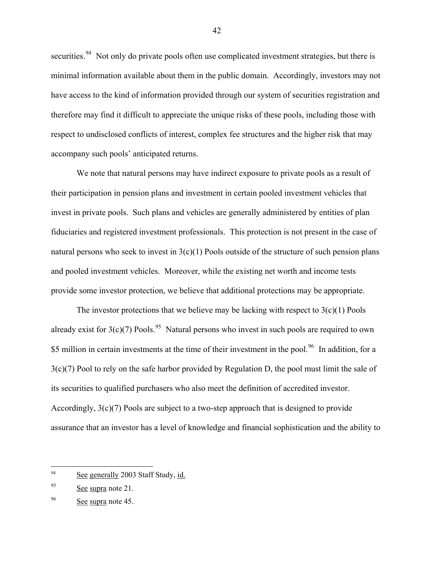securities.<sup>[94](#page-41-0)</sup> Not only do private pools often use complicated investment strategies, but there is minimal information available about them in the public domain. Accordingly, investors may not have access to the kind of information provided through our system of securities registration and therefore may find it difficult to appreciate the unique risks of these pools, including those with respect to undisclosed conflicts of interest, complex fee structures and the higher risk that may accompany such pools' anticipated returns.

We note that natural persons may have indirect exposure to private pools as a result of their participation in pension plans and investment in certain pooled investment vehicles that invest in private pools. Such plans and vehicles are generally administered by entities of plan fiduciaries and registered investment professionals. This protection is not present in the case of natural persons who seek to invest in  $3(c)(1)$  Pools outside of the structure of such pension plans and pooled investment vehicles. Moreover, while the existing net worth and income tests provide some investor protection, we believe that additional protections may be appropriate.

The investor protections that we believe may be lacking with respect to  $3(c)(1)$  Pools already exist for  $3(c)(7)$  Pools.<sup>[95](#page-41-1)</sup> Natural persons who invest in such pools are required to own \$5 million in certain investments at the time of their investment in the pool.<sup>[96](#page-41-2)</sup> In addition, for a 3(c)(7) Pool to rely on the safe harbor provided by Regulation D, the pool must limit the sale of its securities to qualified purchasers who also meet the definition of accredited investor. Accordingly, 3(c)(7) Pools are subject to a two-step approach that is designed to provide assurance that an investor has a level of knowledge and financial sophistication and the ability to

 $\overline{a}$ 

<span id="page-41-0"></span><sup>&</sup>lt;sup>94</sup> See generally 2003 Staff Study, id.

<span id="page-41-1"></span><sup>&</sup>lt;sup>95</sup> See supra note 21.

<span id="page-41-2"></span><sup>&</sup>lt;sup>96</sup> See supra note 45.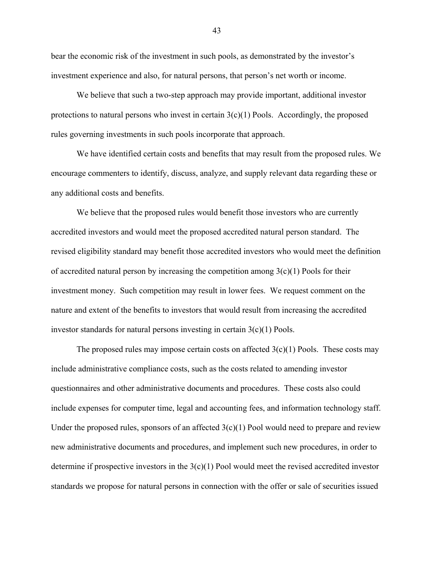bear the economic risk of the investment in such pools, as demonstrated by the investor's investment experience and also, for natural persons, that person's net worth or income.

We believe that such a two-step approach may provide important, additional investor protections to natural persons who invest in certain  $3(c)(1)$  Pools. Accordingly, the proposed rules governing investments in such pools incorporate that approach.

We have identified certain costs and benefits that may result from the proposed rules. We encourage commenters to identify, discuss, analyze, and supply relevant data regarding these or any additional costs and benefits.

We believe that the proposed rules would benefit those investors who are currently accredited investors and would meet the proposed accredited natural person standard. The revised eligibility standard may benefit those accredited investors who would meet the definition of accredited natural person by increasing the competition among  $3(c)(1)$  Pools for their investment money. Such competition may result in lower fees. We request comment on the nature and extent of the benefits to investors that would result from increasing the accredited investor standards for natural persons investing in certain  $3(c)(1)$  Pools.

The proposed rules may impose certain costs on affected  $3(c)(1)$  Pools. These costs may include administrative compliance costs, such as the costs related to amending investor questionnaires and other administrative documents and procedures. These costs also could include expenses for computer time, legal and accounting fees, and information technology staff. Under the proposed rules, sponsors of an affected  $3(c)(1)$  Pool would need to prepare and review new administrative documents and procedures, and implement such new procedures, in order to determine if prospective investors in the  $3(c)(1)$  Pool would meet the revised accredited investor standards we propose for natural persons in connection with the offer or sale of securities issued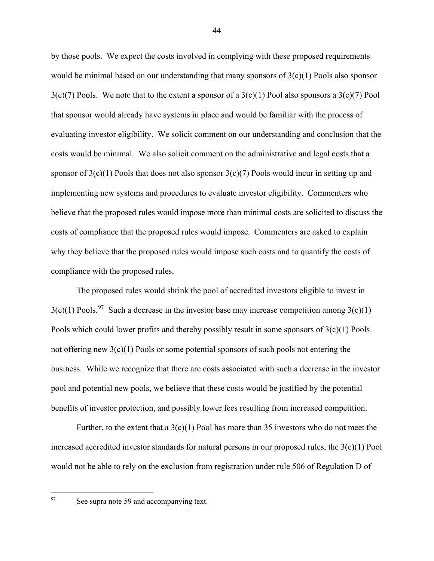by those pools. We expect the costs involved in complying with these proposed requirements would be minimal based on our understanding that many sponsors of  $3(c)(1)$  Pools also sponsor  $3(c)(7)$  Pools. We note that to the extent a sponsor of a  $3(c)(1)$  Pool also sponsors a  $3(c)(7)$  Pool that sponsor would already have systems in place and would be familiar with the process of evaluating investor eligibility. We solicit comment on our understanding and conclusion that the costs would be minimal. We also solicit comment on the administrative and legal costs that a sponsor of  $3(c)(1)$  Pools that does not also sponsor  $3(c)(7)$  Pools would incur in setting up and implementing new systems and procedures to evaluate investor eligibility. Commenters who believe that the proposed rules would impose more than minimal costs are solicited to discuss the costs of compliance that the proposed rules would impose. Commenters are asked to explain why they believe that the proposed rules would impose such costs and to quantify the costs of compliance with the proposed rules.

 The proposed rules would shrink the pool of accredited investors eligible to invest in  $3(c)(1)$  Pools.<sup>[97](#page-43-0)</sup> Such a decrease in the investor base may increase competition among  $3(c)(1)$ Pools which could lower profits and thereby possibly result in some sponsors of  $3(c)(1)$  Pools not offering new  $3(c)(1)$  Pools or some potential sponsors of such pools not entering the business. While we recognize that there are costs associated with such a decrease in the investor pool and potential new pools, we believe that these costs would be justified by the potential benefits of investor protection, and possibly lower fees resulting from increased competition.

Further, to the extent that a  $3(c)(1)$  Pool has more than 35 investors who do not meet the increased accredited investor standards for natural persons in our proposed rules, the  $3(c)(1)$  Pool would not be able to rely on the exclusion from registration under rule 506 of Regulation D of

 $\overline{a}$ 

<span id="page-43-0"></span> $\frac{97}{2}$  See supra note 59 and accompanying text.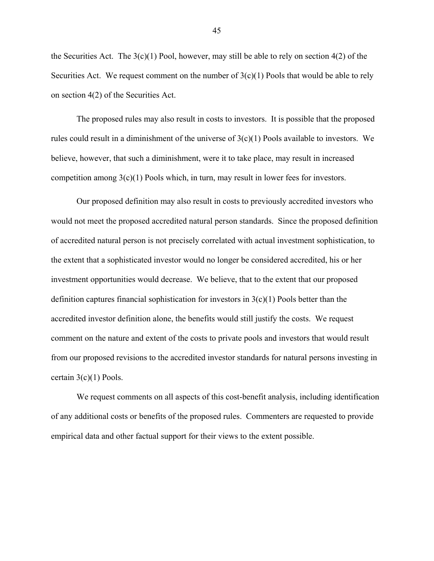the Securities Act. The  $3(c)(1)$  Pool, however, may still be able to rely on section  $4(2)$  of the Securities Act. We request comment on the number of  $3(c)(1)$  Pools that would be able to rely on section 4(2) of the Securities Act.

The proposed rules may also result in costs to investors. It is possible that the proposed rules could result in a diminishment of the universe of  $3(c)(1)$  Pools available to investors. We believe, however, that such a diminishment, were it to take place, may result in increased competition among  $3(c)(1)$  Pools which, in turn, may result in lower fees for investors.

Our proposed definition may also result in costs to previously accredited investors who would not meet the proposed accredited natural person standards. Since the proposed definition of accredited natural person is not precisely correlated with actual investment sophistication, to the extent that a sophisticated investor would no longer be considered accredited, his or her investment opportunities would decrease. We believe, that to the extent that our proposed definition captures financial sophistication for investors in  $3(c)(1)$  Pools better than the accredited investor definition alone, the benefits would still justify the costs. We request comment on the nature and extent of the costs to private pools and investors that would result from our proposed revisions to the accredited investor standards for natural persons investing in certain  $3(c)(1)$  Pools.

 We request comments on all aspects of this cost-benefit analysis, including identification of any additional costs or benefits of the proposed rules. Commenters are requested to provide empirical data and other factual support for their views to the extent possible.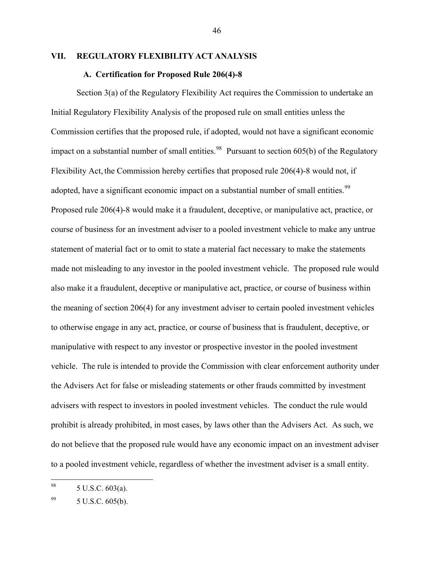### <span id="page-45-0"></span>**VII. REGULATORY FLEXIBILITY ACT ANALYSIS**

### **A. Certification for Proposed Rule 206(4)-8**

Section 3(a) of the Regulatory Flexibility Act requires the Commission to undertake an Initial Regulatory Flexibility Analysis of the proposed rule on small entities unless the Commission certifies that the proposed rule, if adopted, would not have a significant economic impact on a substantial number of small entities.<sup>[98](#page-45-1)</sup> Pursuant to section  $605(b)$  of the Regulatory Flexibility Act, the Commission hereby certifies that proposed rule 206(4)-8 would not, if adopted, have a significant economic impact on a substantial number of small entities.<sup>[99](#page-45-2)</sup> Proposed rule 206(4)-8 would make it a fraudulent, deceptive, or manipulative act, practice, or course of business for an investment adviser to a pooled investment vehicle to make any untrue statement of material fact or to omit to state a material fact necessary to make the statements made not misleading to any investor in the pooled investment vehicle. The proposed rule would also make it a fraudulent, deceptive or manipulative act, practice, or course of business within the meaning of section 206(4) for any investment adviser to certain pooled investment vehicles to otherwise engage in any act, practice, or course of business that is fraudulent, deceptive, or manipulative with respect to any investor or prospective investor in the pooled investment vehicle. The rule is intended to provide the Commission with clear enforcement authority under the Advisers Act for false or misleading statements or other frauds committed by investment advisers with respect to investors in pooled investment vehicles. The conduct the rule would prohibit is already prohibited, in most cases, by laws other than the Advisers Act. As such, we do not believe that the proposed rule would have any economic impact on an investment adviser to a pooled investment vehicle, regardless of whether the investment adviser is a small entity.

<span id="page-45-1"></span><sup>98</sup>  $5$  U.S.C.  $603(a)$ .

<span id="page-45-2"></span> $99$  5 U.S.C. 605(b).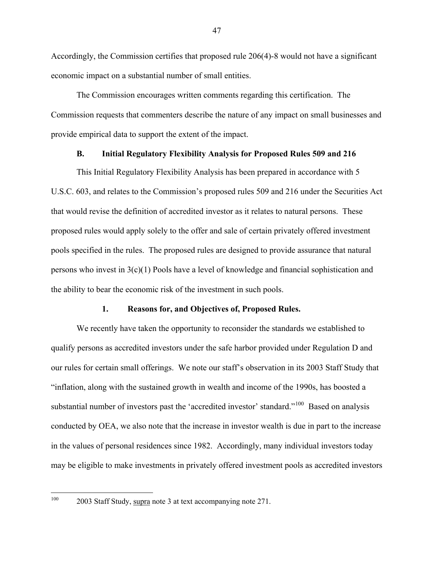<span id="page-46-0"></span>Accordingly, the Commission certifies that proposed rule 206(4)-8 would not have a significant economic impact on a substantial number of small entities.

The Commission encourages written comments regarding this certification. The Commission requests that commenters describe the nature of any impact on small businesses and provide empirical data to support the extent of the impact.

#### **B. Initial Regulatory Flexibility Analysis for Proposed Rules 509 and 216**

This Initial Regulatory Flexibility Analysis has been prepared in accordance with 5 U.S.C. 603, and relates to the Commission's proposed rules 509 and 216 under the Securities Act that would revise the definition of accredited investor as it relates to natural persons. These proposed rules would apply solely to the offer and sale of certain privately offered investment pools specified in the rules. The proposed rules are designed to provide assurance that natural persons who invest in 3(c)(1) Pools have a level of knowledge and financial sophistication and the ability to bear the economic risk of the investment in such pools.

#### **1. Reasons for, and Objectives of, Proposed Rules.**

We recently have taken the opportunity to reconsider the standards we established to qualify persons as accredited investors under the safe harbor provided under Regulation D and our rules for certain small offerings. We note our staff's observation in its 2003 Staff Study that "inflation, along with the sustained growth in wealth and income of the 1990s, has boosted a substantial number of investors past the 'accredited investor' standard."<sup>[100](#page-46-1)</sup> Based on analysis conducted by OEA, we also note that the increase in investor wealth is due in part to the increase in the values of personal residences since 1982. Accordingly, many individual investors today may be eligible to make investments in privately offered investment pools as accredited investors

<span id="page-46-1"></span><sup>2003</sup> Staff Study, supra note 3 at text accompanying note 271.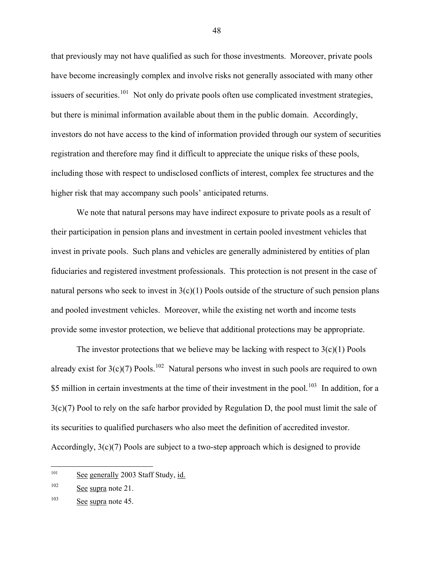that previously may not have qualified as such for those investments. Moreover, private pools have become increasingly complex and involve risks not generally associated with many other issuers of securities.<sup>[101](#page-47-0)</sup> Not only do private pools often use complicated investment strategies, but there is minimal information available about them in the public domain. Accordingly, investors do not have access to the kind of information provided through our system of securities registration and therefore may find it difficult to appreciate the unique risks of these pools, including those with respect to undisclosed conflicts of interest, complex fee structures and the higher risk that may accompany such pools' anticipated returns.

We note that natural persons may have indirect exposure to private pools as a result of their participation in pension plans and investment in certain pooled investment vehicles that invest in private pools. Such plans and vehicles are generally administered by entities of plan fiduciaries and registered investment professionals. This protection is not present in the case of natural persons who seek to invest in  $3(c)(1)$  Pools outside of the structure of such pension plans and pooled investment vehicles. Moreover, while the existing net worth and income tests provide some investor protection, we believe that additional protections may be appropriate.

The investor protections that we believe may be lacking with respect to  $3(c)(1)$  Pools already exist for  $3(c)(7)$  Pools.<sup>[102](#page-47-1)</sup> Natural persons who invest in such pools are required to own \$5 million in certain investments at the time of their investment in the pool.<sup>[103](#page-47-2)</sup> In addition, for a 3(c)(7) Pool to rely on the safe harbor provided by Regulation D, the pool must limit the sale of its securities to qualified purchasers who also meet the definition of accredited investor. Accordingly, 3(c)(7) Pools are subject to a two-step approach which is designed to provide

 $\overline{a}$ 

<span id="page-47-0"></span> $101$  See generally 2003 Staff Study, id.

<span id="page-47-1"></span><sup>&</sup>lt;sup>102</sup> See supra note 21.

<span id="page-47-2"></span> $103$  See supra note 45.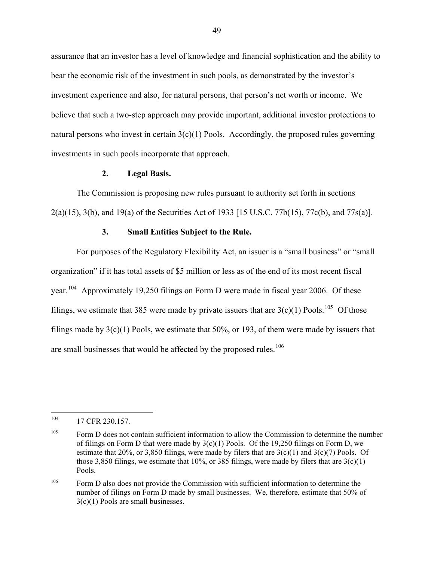assurance that an investor has a level of knowledge and financial sophistication and the ability to bear the economic risk of the investment in such pools, as demonstrated by the investor's investment experience and also, for natural persons, that person's net worth or income. We believe that such a two-step approach may provide important, additional investor protections to natural persons who invest in certain  $3(c)(1)$  Pools. Accordingly, the proposed rules governing investments in such pools incorporate that approach.

### **2. Legal Basis.**

The Commission is proposing new rules pursuant to authority set forth in sections 2(a)(15), 3(b), and 19(a) of the Securities Act of 1933 [15 U.S.C. 77b(15), 77c(b), and 77s(a)].

### **3. Small Entities Subject to the Rule.**

 For purposes of the Regulatory Flexibility Act, an issuer is a "small business" or "small organization" if it has total assets of \$5 million or less as of the end of its most recent fiscal year.<sup>[104](#page-48-0)</sup> Approximately 19,250 filings on Form D were made in fiscal year 2006. Of these filings, we estimate that 385 were made by private issuers that are  $3(c)(1)$  Pools.<sup>[105](#page-48-1)</sup> Of those filings made by  $3(c)(1)$  Pools, we estimate that  $50\%$ , or 193, of them were made by issuers that are small businesses that would be affected by the proposed rules.<sup>[106](#page-48-2)</sup>

<span id="page-48-0"></span><sup>104</sup> 17 CFR 230.157.

<span id="page-48-1"></span><sup>&</sup>lt;sup>105</sup> Form D does not contain sufficient information to allow the Commission to determine the number of filings on Form D that were made by  $3(c)(1)$  Pools. Of the 19,250 filings on Form D, we estimate that 20%, or 3,850 filings, were made by filers that are  $3(c)(1)$  and  $3(c)(7)$  Pools. Of those 3,850 filings, we estimate that  $10\%$ , or 385 filings, were made by filers that are  $3(c)(1)$ Pools.

<span id="page-48-2"></span><sup>&</sup>lt;sup>106</sup> Form D also does not provide the Commission with sufficient information to determine the number of filings on Form D made by small businesses. We, therefore, estimate that 50% of 3(c)(1) Pools are small businesses.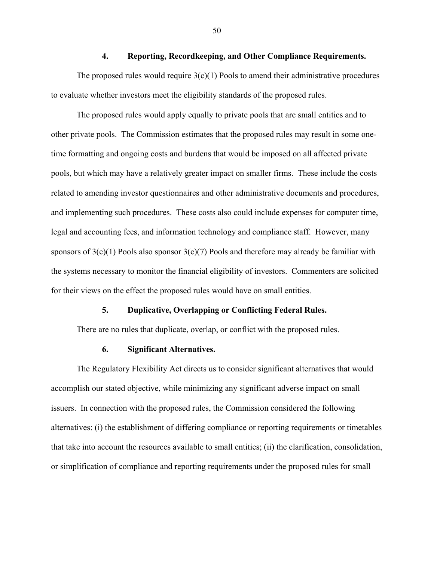#### **4. Reporting, Recordkeeping, and Other Compliance Requirements.**

The proposed rules would require  $3(c)(1)$  Pools to amend their administrative procedures to evaluate whether investors meet the eligibility standards of the proposed rules.

The proposed rules would apply equally to private pools that are small entities and to other private pools. The Commission estimates that the proposed rules may result in some onetime formatting and ongoing costs and burdens that would be imposed on all affected private pools, but which may have a relatively greater impact on smaller firms. These include the costs related to amending investor questionnaires and other administrative documents and procedures, and implementing such procedures. These costs also could include expenses for computer time, legal and accounting fees, and information technology and compliance staff. However, many sponsors of  $3(c)(1)$  Pools also sponsor  $3(c)(7)$  Pools and therefore may already be familiar with the systems necessary to monitor the financial eligibility of investors. Commenters are solicited for their views on the effect the proposed rules would have on small entities.

#### **5. Duplicative, Overlapping or Conflicting Federal Rules.**

There are no rules that duplicate, overlap, or conflict with the proposed rules.

#### **6. Significant Alternatives.**

 The Regulatory Flexibility Act directs us to consider significant alternatives that would accomplish our stated objective, while minimizing any significant adverse impact on small issuers. In connection with the proposed rules, the Commission considered the following alternatives: (i) the establishment of differing compliance or reporting requirements or timetables that take into account the resources available to small entities; (ii) the clarification, consolidation, or simplification of compliance and reporting requirements under the proposed rules for small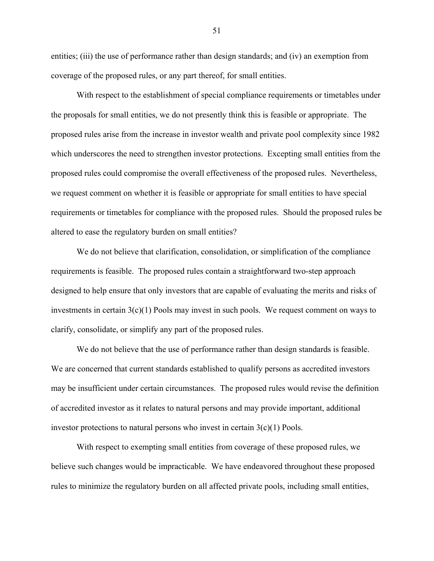entities; (iii) the use of performance rather than design standards; and (iv) an exemption from coverage of the proposed rules, or any part thereof, for small entities.

 With respect to the establishment of special compliance requirements or timetables under the proposals for small entities, we do not presently think this is feasible or appropriate. The proposed rules arise from the increase in investor wealth and private pool complexity since 1982 which underscores the need to strengthen investor protections. Excepting small entities from the proposed rules could compromise the overall effectiveness of the proposed rules. Nevertheless, we request comment on whether it is feasible or appropriate for small entities to have special requirements or timetables for compliance with the proposed rules. Should the proposed rules be altered to ease the regulatory burden on small entities?

We do not believe that clarification, consolidation, or simplification of the compliance requirements is feasible. The proposed rules contain a straightforward two-step approach designed to help ensure that only investors that are capable of evaluating the merits and risks of investments in certain  $3(c)(1)$  Pools may invest in such pools. We request comment on ways to clarify, consolidate, or simplify any part of the proposed rules.

We do not believe that the use of performance rather than design standards is feasible. We are concerned that current standards established to qualify persons as accredited investors may be insufficient under certain circumstances. The proposed rules would revise the definition of accredited investor as it relates to natural persons and may provide important, additional investor protections to natural persons who invest in certain  $3(c)(1)$  Pools.

With respect to exempting small entities from coverage of these proposed rules, we believe such changes would be impracticable. We have endeavored throughout these proposed rules to minimize the regulatory burden on all affected private pools, including small entities,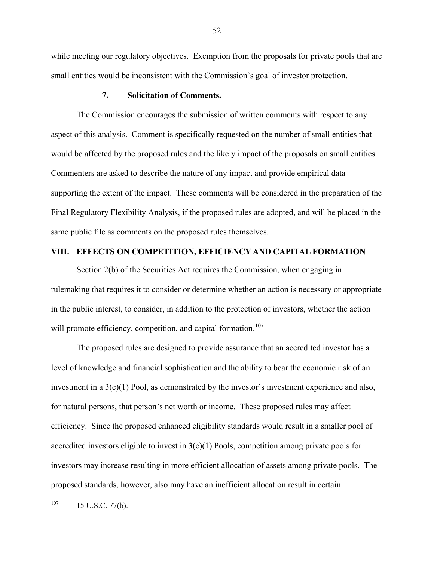<span id="page-51-0"></span>while meeting our regulatory objectives. Exemption from the proposals for private pools that are small entities would be inconsistent with the Commission's goal of investor protection.

### **7. Solicitation of Comments.**

 The Commission encourages the submission of written comments with respect to any aspect of this analysis. Comment is specifically requested on the number of small entities that would be affected by the proposed rules and the likely impact of the proposals on small entities. Commenters are asked to describe the nature of any impact and provide empirical data supporting the extent of the impact. These comments will be considered in the preparation of the Final Regulatory Flexibility Analysis, if the proposed rules are adopted, and will be placed in the same public file as comments on the proposed rules themselves.

### **VIII. EFFECTS ON COMPETITION, EFFICIENCY AND CAPITAL FORMATION**

Section 2(b) of the Securities Act requires the Commission, when engaging in rulemaking that requires it to consider or determine whether an action is necessary or appropriate in the public interest, to consider, in addition to the protection of investors, whether the action will promote efficiency, competition, and capital formation.<sup>[107](#page-51-1)</sup>

 The proposed rules are designed to provide assurance that an accredited investor has a level of knowledge and financial sophistication and the ability to bear the economic risk of an investment in a  $3(c)(1)$  Pool, as demonstrated by the investor's investment experience and also, for natural persons, that person's net worth or income. These proposed rules may affect efficiency. Since the proposed enhanced eligibility standards would result in a smaller pool of accredited investors eligible to invest in  $3(c)(1)$  Pools, competition among private pools for investors may increase resulting in more efficient allocation of assets among private pools. The proposed standards, however, also may have an inefficient allocation result in certain

<span id="page-51-1"></span><sup>107</sup> 15 U.S.C. 77(b).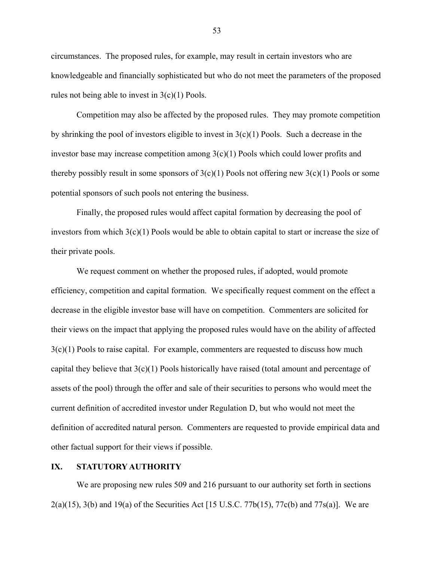<span id="page-52-0"></span>circumstances. The proposed rules, for example, may result in certain investors who are knowledgeable and financially sophisticated but who do not meet the parameters of the proposed rules not being able to invest in  $3(c)(1)$  Pools.

Competition may also be affected by the proposed rules. They may promote competition by shrinking the pool of investors eligible to invest in  $3(c)(1)$  Pools. Such a decrease in the investor base may increase competition among 3(c)(1) Pools which could lower profits and thereby possibly result in some sponsors of  $3(c)(1)$  Pools not offering new  $3(c)(1)$  Pools or some potential sponsors of such pools not entering the business.

Finally, the proposed rules would affect capital formation by decreasing the pool of investors from which  $3(c)(1)$  Pools would be able to obtain capital to start or increase the size of their private pools.

We request comment on whether the proposed rules, if adopted, would promote efficiency, competition and capital formation. We specifically request comment on the effect a decrease in the eligible investor base will have on competition. Commenters are solicited for their views on the impact that applying the proposed rules would have on the ability of affected  $3(c)(1)$  Pools to raise capital. For example, commenters are requested to discuss how much capital they believe that  $3(c)(1)$  Pools historically have raised (total amount and percentage of assets of the pool) through the offer and sale of their securities to persons who would meet the current definition of accredited investor under Regulation D, but who would not meet the definition of accredited natural person. Commenters are requested to provide empirical data and other factual support for their views if possible.

#### **IX. STATUTORY AUTHORITY**

We are proposing new rules 509 and 216 pursuant to our authority set forth in sections  $2(a)(15)$ ,  $3(b)$  and  $19(a)$  of the Securities Act [15 U.S.C.  $77b(15)$ ,  $77c(b)$  and  $77s(a)$ ]. We are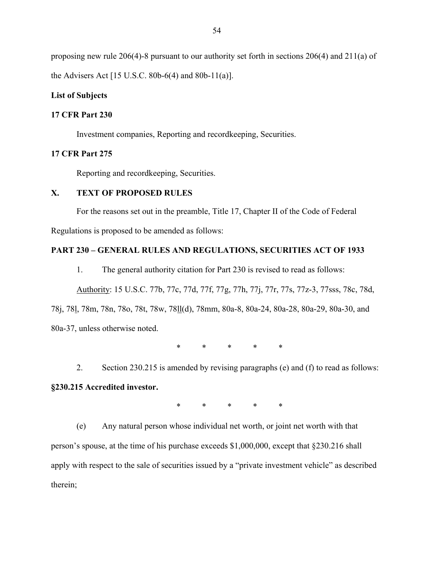<span id="page-53-0"></span>proposing new rule 206(4)-8 pursuant to our authority set forth in sections 206(4) and 211(a) of the Advisers Act [15 U.S.C. 80b-6(4) and 80b-11(a)].

### **List of Subjects**

#### **17 CFR Part 230**

Investment companies, Reporting and recordkeeping, Securities.

#### **17 CFR Part 275**

Reporting and recordkeeping, Securities.

# **X. TEXT OF PROPOSED RULES**

For the reasons set out in the preamble, Title 17, Chapter II of the Code of Federal

Regulations is proposed to be amended as follows:

### **PART 230 – GENERAL RULES AND REGULATIONS, SECURITIES ACT OF 1933**

1. The general authority citation for Part 230 is revised to read as follows:

Authority: 15 U.S.C. 77b, 77c, 77d, 77f, 77g, 77h, 77j, 77r, 77s, 77z-3, 77sss, 78c, 78d,

78j, 78l, 78m, 78n, 78o, 78t, 78w, 78ll(d), 78mm, 80a-8, 80a-24, 80a-28, 80a-29, 80a-30, and 80a-37, unless otherwise noted.

\* \* \* \* \*

2. Section 230.215 is amended by revising paragraphs (e) and (f) to read as follows: **§230.215 Accredited investor.** 

\* \* \* \* \*

(e) Any natural person whose individual net worth, or joint net worth with that person's spouse, at the time of his purchase exceeds \$1,000,000, except that §230.216 shall apply with respect to the sale of securities issued by a "private investment vehicle" as described therein;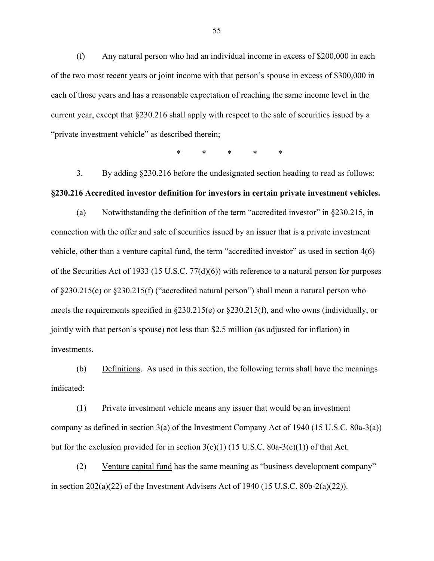(f) Any natural person who had an individual income in excess of \$200,000 in each of the two most recent years or joint income with that person's spouse in excess of \$300,000 in each of those years and has a reasonable expectation of reaching the same income level in the current year, except that §230.216 shall apply with respect to the sale of securities issued by a "private investment vehicle" as described therein;

\* \* \* \* \*

3. By adding §230.216 before the undesignated section heading to read as follows: **§230.216 Accredited investor definition for investors in certain private investment vehicles.** 

(a) Notwithstanding the definition of the term "accredited investor" in §230.215, in connection with the offer and sale of securities issued by an issuer that is a private investment vehicle, other than a venture capital fund, the term "accredited investor" as used in section 4(6) of the Securities Act of 1933 (15 U.S.C. 77(d)(6)) with reference to a natural person for purposes of §230.215(e) or §230.215(f) ("accredited natural person") shall mean a natural person who meets the requirements specified in §230.215(e) or §230.215(f), and who owns (individually, or jointly with that person's spouse) not less than \$2.5 million (as adjusted for inflation) in investments.

(b) Definitions. As used in this section, the following terms shall have the meanings indicated:

(1) Private investment vehicle means any issuer that would be an investment company as defined in section 3(a) of the Investment Company Act of 1940 (15 U.S.C. 80a-3(a)) but for the exclusion provided for in section  $3(c)(1)$  (15 U.S.C. 80a-3(c)(1)) of that Act.

(2) Venture capital fund has the same meaning as "business development company" in section  $202(a)(22)$  of the Investment Advisers Act of 1940 (15 U.S.C. 80b-2(a)(22)).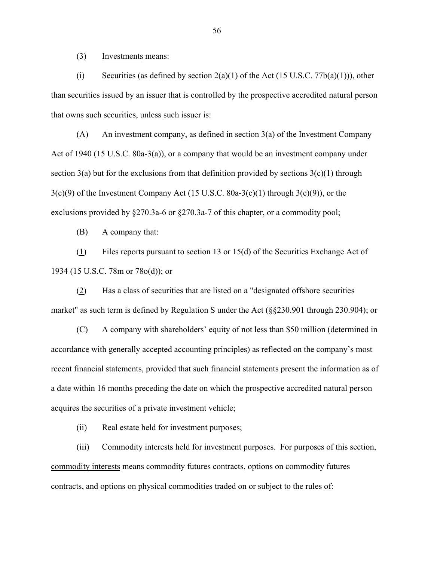(3) Investments means:

(i) Securities (as defined by section  $2(a)(1)$  of the Act (15 U.S.C. 77b(a)(1))), other than securities issued by an issuer that is controlled by the prospective accredited natural person that owns such securities, unless such issuer is:

(A) An investment company, as defined in section 3(a) of the Investment Company Act of 1940 (15 U.S.C. 80a-3(a)), or a company that would be an investment company under section 3(a) but for the exclusions from that definition provided by sections  $3(c)(1)$  through  $3(c)(9)$  of the Investment Company Act (15 U.S.C. 80a-3(c)(1) through  $3(c)(9)$ ), or the exclusions provided by §270.3a-6 or §270.3a-7 of this chapter, or a commodity pool;

(B) A company that:

(1) Files reports pursuant to section [13](http://www.sec.gov/cgi-bin/goodbye.cgi?www.law.uc.edu/CCL/34Act/sec13.html) or [15\(d\)](http://www.sec.gov/cgi-bin/goodbye.cgi?www.law.uc.edu/CCL/34Act/sec15.html#d) of the Securities Exchange Act of 1934 (15 U.S.C. 78m or 78o(d)); or

(2) Has a class of securities that are listed on a "designated offshore securities market" as such term is defined by [Regulation S](http://www.sec.gov/cgi-bin/goodbye.cgi?www.law.uc.edu/CCL/33ActRls/regS.html) under the Act (§§230.901 through 230.904); or

(C) A company with shareholders' equity of not less than \$50 million (determined in accordance with generally accepted accounting principles) as reflected on the company's most recent financial statements, provided that such financial statements present the information as of a date within 16 months preceding the date on which the prospective accredited natural person acquires the securities of a private investment vehicle;

(ii) Real estate held for investment purposes;

(iii) Commodity interests held for investment purposes. For purposes of this section, commodity interests means commodity futures contracts, options on commodity futures contracts, and options on physical commodities traded on or subject to the rules of: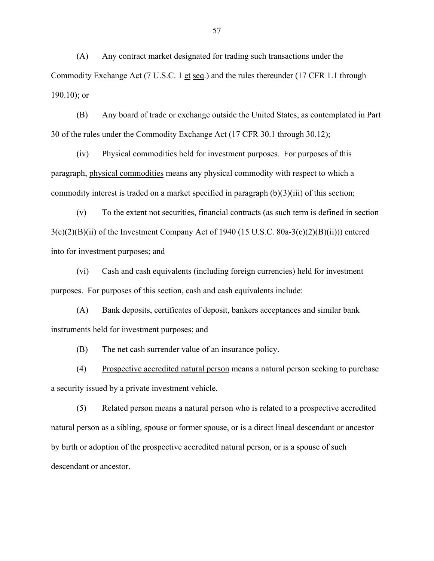(A) Any contract market designated for trading such transactions under the Commodity Exchange Act (7 U.S.C. 1 et seq.) and the rules thereunder (17 CFR 1.1 through 190.10); or

(B) Any board of trade or exchange outside the United States, as contemplated in Part 30 of the rules under the Commodity Exchange Act (17 CFR 30.1 through 30.12);

(iv) Physical commodities held for investment purposes. For purposes of this paragraph, physical commodities means any physical commodity with respect to which a commodity interest is traded on a market specified in paragraph (b)(3)(iii) of this section;

(v) To the extent not securities, financial contracts (as such term is defined in section  $3(c)(2)(B)(ii)$  of the Investment Company Act of 1940 (15 U.S.C. 80a-3(c)(2)(B)(ii))) entered into for investment purposes; and

(vi) Cash and cash equivalents (including foreign currencies) held for investment purposes. For purposes of this section, cash and cash equivalents include:

(A) Bank deposits, certificates of deposit, bankers acceptances and similar bank instruments held for investment purposes; and

(B) The net cash surrender value of an insurance policy.

(4) Prospective accredited natural person means a natural person seeking to purchase a security issued by a private investment vehicle.

(5) Related person means a natural person who is related to a prospective accredited natural person as a sibling, spouse or former spouse, or is a direct lineal descendant or ancestor by birth or adoption of the prospective accredited natural person, or is a spouse of such descendant or ancestor.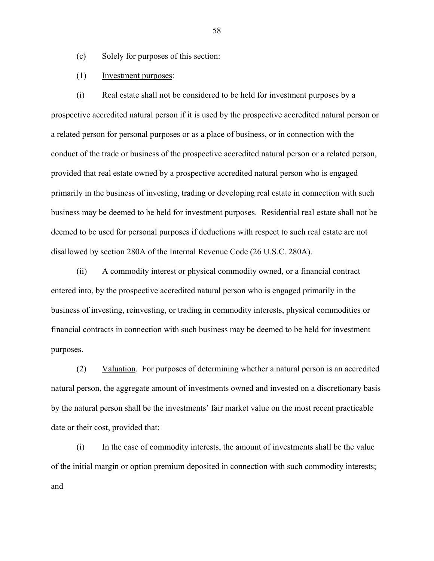- (c) Solely for purposes of this section:
- (1) Investment purposes:

(i) Real estate shall not be considered to be held for investment purposes by a prospective accredited natural person if it is used by the prospective accredited natural person or a related person for personal purposes or as a place of business, or in connection with the conduct of the trade or business of the prospective accredited natural person or a related person, provided that real estate owned by a prospective accredited natural person who is engaged primarily in the business of investing, trading or developing real estate in connection with such business may be deemed to be held for investment purposes. Residential real estate shall not be deemed to be used for personal purposes if deductions with respect to such real estate are not disallowed by section 280A of the Internal Revenue Code (26 U.S.C. 280A).

(ii) A commodity interest or physical commodity owned, or a financial contract entered into, by the prospective accredited natural person who is engaged primarily in the business of investing, reinvesting, or trading in commodity interests, physical commodities or financial contracts in connection with such business may be deemed to be held for investment purposes.

(2) Valuation. For purposes of determining whether a natural person is an accredited natural person, the aggregate amount of investments owned and invested on a discretionary basis by the natural person shall be the investments' fair market value on the most recent practicable date or their cost, provided that:

(i) In the case of commodity interests, the amount of investments shall be the value of the initial margin or option premium deposited in connection with such commodity interests; and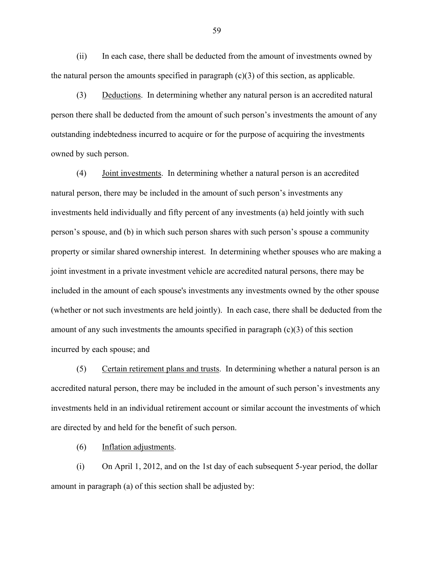(ii) In each case, there shall be deducted from the amount of investments owned by the natural person the amounts specified in paragraph  $(c)(3)$  of this section, as applicable.

(3) Deductions. In determining whether any natural person is an accredited natural person there shall be deducted from the amount of such person's investments the amount of any outstanding indebtedness incurred to acquire or for the purpose of acquiring the investments owned by such person.

(4) Joint investments. In determining whether a natural person is an accredited natural person, there may be included in the amount of such person's investments any investments held individually and fifty percent of any investments (a) held jointly with such person's spouse, and (b) in which such person shares with such person's spouse a community property or similar shared ownership interest.In determining whether spouses who are making a joint investment in a private investment vehicle are accredited natural persons, there may be included in the amount of each spouse's investments any investments owned by the other spouse (whether or not such investments are held jointly). In each case, there shall be deducted from the amount of any such investments the amounts specified in paragraph  $(c)(3)$  of this section incurred by each spouse; and

(5) Certain retirement plans and trusts. In determining whether a natural person is an accredited natural person, there may be included in the amount of such person's investments any investments held in an individual retirement account or similar account the investments of which are directed by and held for the benefit of such person.

(6) Inflation adjustments.

(i) On April 1, 2012, and on the 1st day of each subsequent 5-year period, the dollar amount in paragraph (a) of this section shall be adjusted by: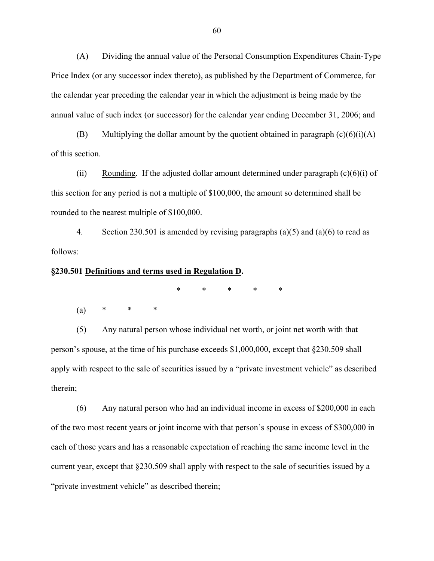(A) Dividing the annual value of the Personal Consumption Expenditures Chain-Type Price Index (or any successor index thereto), as published by the Department of Commerce, for the calendar year preceding the calendar year in which the adjustment is being made by the annual value of such index (or successor) for the calendar year ending December 31, 2006; and

(B) Multiplying the dollar amount by the quotient obtained in paragraph  $(c)(6)(i)(A)$ of this section.

(ii) Rounding. If the adjusted dollar amount determined under paragraph  $(c)(6)(i)$  of this section for any period is not a multiple of \$100,000, the amount so determined shall be rounded to the nearest multiple of \$100,000.

4. Section 230.501 is amended by revising paragraphs (a)(5) and (a)(6) to read as follows:

#### **§230.501 Definitions and terms used in Regulation D.**

\* \* \* \* \*

 $(a)$ 

(5) Any natural person whose individual net worth, or joint net worth with that person's spouse, at the time of his purchase exceeds \$1,000,000, except that §230.509 shall apply with respect to the sale of securities issued by a "private investment vehicle" as described therein;

(6) Any natural person who had an individual income in excess of \$200,000 in each of the two most recent years or joint income with that person's spouse in excess of \$300,000 in each of those years and has a reasonable expectation of reaching the same income level in the current year, except that §230.509 shall apply with respect to the sale of securities issued by a "private investment vehicle" as described therein;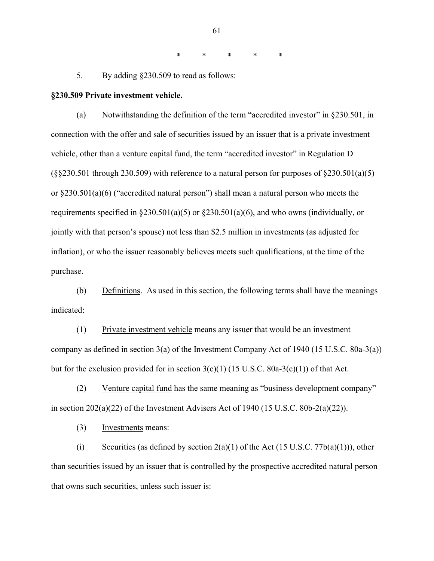\* \* \* \* \*

5. By adding §230.509 to read as follows:

#### **§230.509 Private investment vehicle.**

(a) Notwithstanding the definition of the term "accredited investor" in §230.501, in connection with the offer and sale of securities issued by an issuer that is a private investment vehicle, other than a venture capital fund, the term "accredited investor" in Regulation D  $(\S$ §230.501 through 230.509) with reference to a natural person for purposes of §230.501(a)(5) or §230.501(a)(6) ("accredited natural person") shall mean a natural person who meets the requirements specified in  $\S 230.501(a)(5)$  or  $\S 230.501(a)(6)$ , and who owns (individually, or jointly with that person's spouse) not less than \$2.5 million in investments (as adjusted for inflation), or who the issuer reasonably believes meets such qualifications, at the time of the purchase.

(b) Definitions. As used in this section, the following terms shall have the meanings indicated:

(1) Private investment vehicle means any issuer that would be an investment company as defined in section 3(a) of the Investment Company Act of 1940 (15 U.S.C. 80a-3(a)) but for the exclusion provided for in section  $3(c)(1)$  (15 U.S.C. 80a-3(c)(1)) of that Act.

(2) Venture capital fund has the same meaning as "business development company" in section  $202(a)(22)$  of the Investment Advisers Act of 1940 (15 U.S.C. 80b-2(a)(22)).

(3) Investments means:

(i) Securities (as defined by section  $2(a)(1)$  of the Act (15 U.S.C. 77b(a)(1))), other than securities issued by an issuer that is controlled by the prospective accredited natural person that owns such securities, unless such issuer is: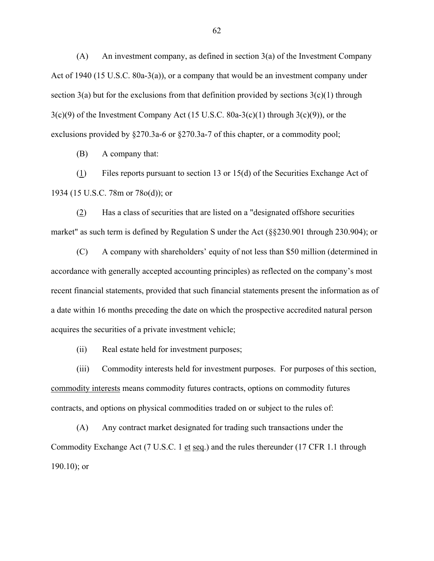(A) An investment company, as defined in section 3(a) of the Investment Company Act of 1940 (15 U.S.C. 80a-3(a)), or a company that would be an investment company under section 3(a) but for the exclusions from that definition provided by sections  $3(c)(1)$  through  $3(c)(9)$  of the Investment Company Act (15 U.S.C. 80a-3(c)(1) through  $3(c)(9)$ ), or the exclusions provided by §270.3a-6 or §270.3a-7 of this chapter, or a commodity pool;

(B) A company that:

(1) Files reports pursuant to section [13](http://www.sec.gov/cgi-bin/goodbye.cgi?www.law.uc.edu/CCL/34Act/sec13.html) or [15\(d\)](http://www.sec.gov/cgi-bin/goodbye.cgi?www.law.uc.edu/CCL/34Act/sec15.html#d) of the Securities Exchange Act of 1934 (15 U.S.C. 78m or 78o(d)); or

(2) Has a class of securities that are listed on a "designated offshore securities market" as such term is defined by [Regulation S](http://www.sec.gov/cgi-bin/goodbye.cgi?www.law.uc.edu/CCL/33ActRls/regS.html) under the Act (§§230.901 through 230.904); or

(C) A company with shareholders' equity of not less than \$50 million (determined in accordance with generally accepted accounting principles) as reflected on the company's most recent financial statements, provided that such financial statements present the information as of a date within 16 months preceding the date on which the prospective accredited natural person acquires the securities of a private investment vehicle;

(ii) Real estate held for investment purposes;

(iii) Commodity interests held for investment purposes. For purposes of this section, commodity interests means commodity futures contracts, options on commodity futures contracts, and options on physical commodities traded on or subject to the rules of:

(A) Any contract market designated for trading such transactions under the Commodity Exchange Act (7 U.S.C. 1 et seq.) and the rules thereunder (17 CFR 1.1 through 190.10); or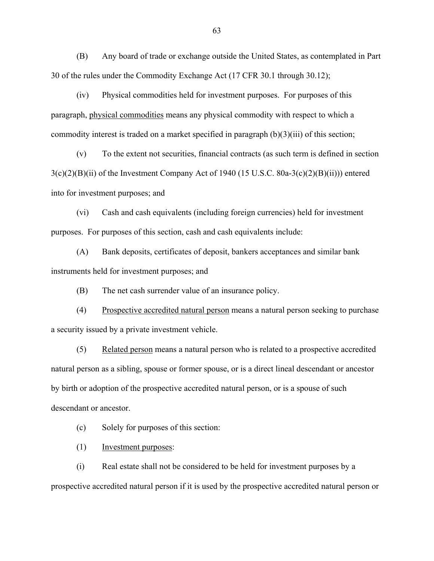(B) Any board of trade or exchange outside the United States, as contemplated in Part 30 of the rules under the Commodity Exchange Act (17 CFR 30.1 through 30.12);

(iv) Physical commodities held for investment purposes. For purposes of this paragraph, physical commodities means any physical commodity with respect to which a commodity interest is traded on a market specified in paragraph  $(b)(3)(iii)$  of this section;

(v) To the extent not securities, financial contracts (as such term is defined in section  $3(c)(2)(B)(ii)$  of the Investment Company Act of 1940 (15 U.S.C. 80a-3(c)(2)(B)(ii))) entered into for investment purposes; and

(vi) Cash and cash equivalents (including foreign currencies) held for investment purposes. For purposes of this section, cash and cash equivalents include:

(A) Bank deposits, certificates of deposit, bankers acceptances and similar bank instruments held for investment purposes; and

(B) The net cash surrender value of an insurance policy.

(4) Prospective accredited natural person means a natural person seeking to purchase a security issued by a private investment vehicle.

(5) Related person means a natural person who is related to a prospective accredited natural person as a sibling, spouse or former spouse, or is a direct lineal descendant or ancestor by birth or adoption of the prospective accredited natural person, or is a spouse of such descendant or ancestor.

(c) Solely for purposes of this section:

(1) Investment purposes:

(i) Real estate shall not be considered to be held for investment purposes by a prospective accredited natural person if it is used by the prospective accredited natural person or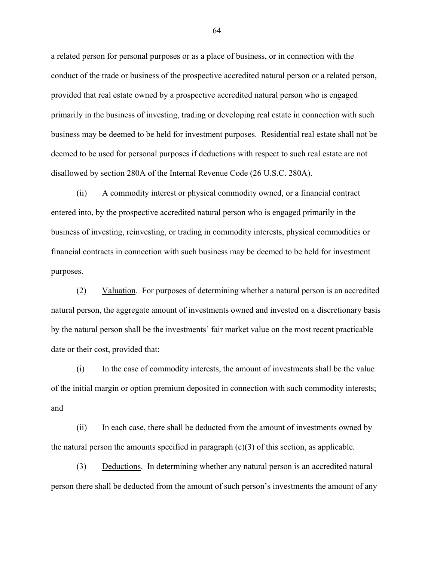a related person for personal purposes or as a place of business, or in connection with the conduct of the trade or business of the prospective accredited natural person or a related person, provided that real estate owned by a prospective accredited natural person who is engaged primarily in the business of investing, trading or developing real estate in connection with such business may be deemed to be held for investment purposes. Residential real estate shall not be deemed to be used for personal purposes if deductions with respect to such real estate are not disallowed by section 280A of the Internal Revenue Code (26 U.S.C. 280A).

(ii) A commodity interest or physical commodity owned, or a financial contract entered into, by the prospective accredited natural person who is engaged primarily in the business of investing, reinvesting, or trading in commodity interests, physical commodities or financial contracts in connection with such business may be deemed to be held for investment purposes.

(2) Valuation. For purposes of determining whether a natural person is an accredited natural person, the aggregate amount of investments owned and invested on a discretionary basis by the natural person shall be the investments' fair market value on the most recent practicable date or their cost, provided that:

(i) In the case of commodity interests, the amount of investments shall be the value of the initial margin or option premium deposited in connection with such commodity interests; and

(ii) In each case, there shall be deducted from the amount of investments owned by the natural person the amounts specified in paragraph  $(c)(3)$  of this section, as applicable.

(3) Deductions. In determining whether any natural person is an accredited natural person there shall be deducted from the amount of such person's investments the amount of any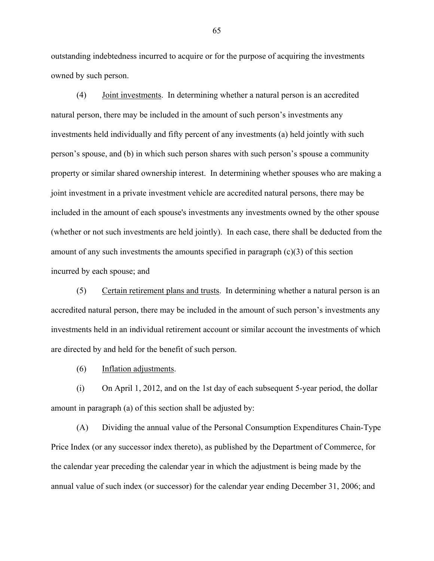outstanding indebtedness incurred to acquire or for the purpose of acquiring the investments owned by such person.

(4) Joint investments. In determining whether a natural person is an accredited natural person, there may be included in the amount of such person's investments any investments held individually and fifty percent of any investments (a) held jointly with such person's spouse, and (b) in which such person shares with such person's spouse a community property or similar shared ownership interest.In determining whether spouses who are making a joint investment in a private investment vehicle are accredited natural persons, there may be included in the amount of each spouse's investments any investments owned by the other spouse (whether or not such investments are held jointly). In each case, there shall be deducted from the amount of any such investments the amounts specified in paragraph  $(c)(3)$  of this section incurred by each spouse; and

(5) Certain retirement plans and trusts. In determining whether a natural person is an accredited natural person, there may be included in the amount of such person's investments any investments held in an individual retirement account or similar account the investments of which are directed by and held for the benefit of such person.

(6) Inflation adjustments.

(i) On April 1, 2012, and on the 1st day of each subsequent 5-year period, the dollar amount in paragraph (a) of this section shall be adjusted by:

(A) Dividing the annual value of the Personal Consumption Expenditures Chain-Type Price Index (or any successor index thereto), as published by the Department of Commerce, for the calendar year preceding the calendar year in which the adjustment is being made by the annual value of such index (or successor) for the calendar year ending December 31, 2006; and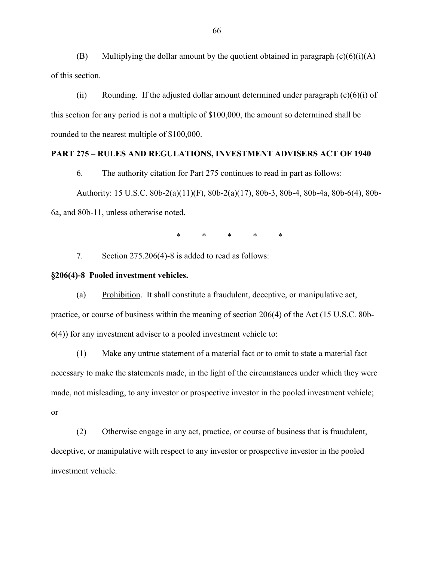(B) Multiplying the dollar amount by the quotient obtained in paragraph  $(c)(6)(i)(A)$ of this section.

(ii) Rounding. If the adjusted dollar amount determined under paragraph  $(c)(6)(i)$  of this section for any period is not a multiple of \$100,000, the amount so determined shall be rounded to the nearest multiple of \$100,000.

#### **PART 275 – RULES AND REGULATIONS, INVESTMENT ADVISERS ACT OF 1940**

6. The authority citation for Part 275 continues to read in part as follows:

Authority: 15 U.S.C. 80b-2(a)(11)(F), 80b-2(a)(17), 80b-3, 80b-4, 80b-4a, 80b-6(4), 80b-6a, and 80b-11, unless otherwise noted.

\* \* \* \* \*

7. Section 275.206(4)-8 is added to read as follows:

#### **§206(4)-8 Pooled investment vehicles.**

 (a) Prohibition. It shall constitute a fraudulent, deceptive, or manipulative act, practice, or course of business within the meaning of section 206(4) of the Act (15 U.S.C. 80b-6(4)) for any investment adviser to a pooled investment vehicle to:

(1) Make any untrue statement of a material fact or to omit to state a material fact necessary to make the statements made, in the light of the circumstances under which they were made, not misleading, to any investor or prospective investor in the pooled investment vehicle; or

(2) Otherwise engage in any act, practice, or course of business that is fraudulent, deceptive, or manipulative with respect to any investor or prospective investor in the pooled investment vehicle.